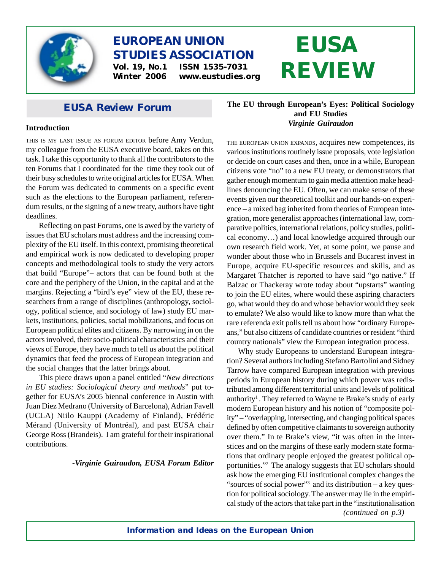

# **EUROPEAN UNION STUDIES ASSOCIATION Vol. 19, No.1 ISSN 1535-7031**

**Winter 2006 www.eustudies.org**

# **EUSA REVIEW**

## *EUSA Review* **Forum**

#### **Introduction**

THIS IS MY LAST ISSUE AS FORUM EDITOR before Amy Verdun, my colleague from the EUSA executive board, takes on this task. I take this opportunity to thank all the contributors to the ten Forums that I coordinated for the time they took out of their busy schedules to write original articles for EUSA. When the Forum was dedicated to comments on a specific event such as the elections to the European parliament, referendum results, or the signing of a new treaty, authors have tight deadlines.

Reflecting on past Forums, one is awed by the variety of issues that EU scholars must address and the increasing complexity of the EU itself. In this context, promising theoretical and empirical work is now dedicated to developing proper concepts and methodological tools to study the very actors that build "Europe"– actors that can be found both at the core and the periphery of the Union, in the capital and at the margins. Rejecting a "bird's eye" view of the EU, these researchers from a range of disciplines (anthropology, sociology, political science, and sociology of law) study EU markets, institutions, policies, social mobilizations, and focus on European political elites and citizens. By narrowing in on the actors involved, their socio-political characteristics and their views of Europe, they have much to tell us about the political dynamics that feed the process of European integration and the social changes that the latter brings about.

This piece draws upon a panel entitled "*New directions in EU studies: Sociological theory and methods*" put together for EUSA's 2005 biennal conference in Austin with Juan Diez Medrano (University of Barcelona), Adrian Favell (UCLA) Niilo Kauppi (Academy of Finland), Frédéric Mérand (University of Montréal), and past EUSA chair George Ross (Brandeis). I am grateful for their inspirational contributions.

#### *-Virginie Guiraudon, EUSA Forum Editor*

### **The EU through European's Eyes: Political Sociology and EU Studies** *Virginie Guiraudon*

THE EUROPEAN UNION EXPANDS, acquires new competences, its various institutions routinely issue proposals, vote legislation or decide on court cases and then, once in a while, European citizens vote "no" to a new EU treaty, or demonstrators that gather enough momentum to gain media attention make headlines denouncing the EU. Often, we can make sense of these events given our theoretical toolkit and our hands-on experience – a mixed bag inherited from theories of European integration, more generalist approaches (international law, comparative politics, international relations, policy studies, political economy…) and local knowledge acquired through our own research field work. Yet, at some point, we pause and wonder about those who in Brussels and Bucarest invest in Europe, acquire EU-specific resources and skills, and as Margaret Thatcher is reported to have said "go native." If Balzac or Thackeray wrote today about "upstarts" wanting to join the EU elites, where would these aspiring characters go, what would they do and whose behavior would they seek to emulate? We also would like to know more than what the rare referenda exit polls tell us about how "ordinary Europeans," but also citizens of candidate countries or resident "third country nationals" view the European integration process.

Why study Europeans to understand European integration? Several authors including Stefano Bartolini and Sidney Tarrow have compared European integration with previous periods in European history during which power was redistributed among different territorial units and levels of political authority<sup>1</sup>. They referred to Wayne te Brake's study of early modern European history and his notion of "composite polity" – "overlapping, intersecting, and changing political spaces defined by often competitive claimants to sovereign authority over them." In te Brake's view, "it was often in the interstices and on the margins of these early modern state formations that ordinary people enjoyed the greatest political opportunities."2 The analogy suggests that EU scholars should ask how the emerging EU institutional complex changes the "sources of social power"3 and its distribution – a key question for political sociology. The answer may lie in the empirical study of the actors that take part in the "institutionalisation

*(continued on p.3)*

*Information and Ideas on the European Union*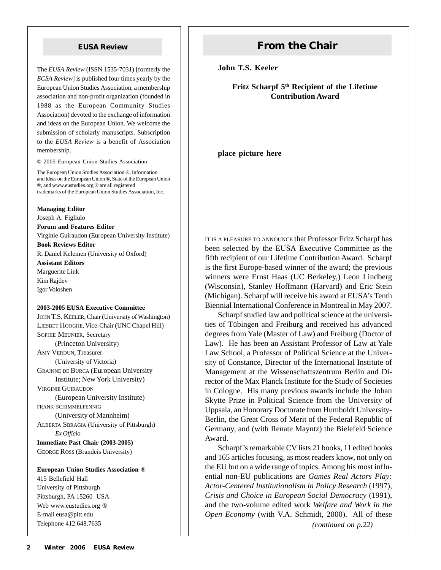The *EUSA Review* (ISSN 1535-7031) [formerly the *ECSA Review*] is published four times yearly by the European Union Studies Association, a membership association and non-profit organization (founded in 1988 as the European Community Studies Association) devoted to the exchange of information and ideas on the European Union. We welcome the submission of scholarly manuscripts. Subscription to the *EUSA Review* is a benefit of Association membership.

© 2005 European Union Studies Association

The European Union Studies Association ®, Information and Ideas on the European Union ®, State of the European Union ®, and www.eustudies.org ® are all registered trademarks of the European Union Studies Association, Inc.

**Managing Editor**

Joseph A. Figliulo

**Forum and Features Editor**

Virginie Guiraudon (European University Institute) **Book Reviews Editor**

R. Daniel Kelemen (University of Oxford)

**Assistant Editors** Marguerite Link Kim Rajdev Igor Voloshen

#### **2003-2005 EUSA Executive Committee**

JOHN T.S. KEELER, Chair (University of Washington) LIESBET HOOGHE, Vice-Chair (UNC Chapel Hill) SOPHIE MEUNIER, Secretary (Princeton University) AMY VERDUN, Treasurer (University of Victoria) GRAINNE DE BURCA (European University Institute; New York University) VIRGINIE GUIRAUDON (European University Institute) FRANK SCHIMMELFENNIG (University of Mannheim) ALBERTA SBRAGIA (University of Pittsburgh) *Ex Officio* **Immediate Past Chair (2003-2005)** GEORGE ROSS (Brandeis University)

**European Union Studies Association** ® 415 Bellefield Hall University of Pittsburgh Pittsburgh, PA 15260 USA Web www.eustudies.org ® E-mail eusa@pitt.edu Telephone 412.648.7635

## **EUSA Review <b>From the Chair**

**John T.S. Keeler**

**Fritz Scharpf 5th Recipient of the Lifetime Contribution Award**

**place picture here**

IT IS <sup>A</sup> PLEASURE TO ANNOUNCE that Professor Fritz Scharpf has been selected by the EUSA Executive Committee as the fifth recipient of our Lifetime Contribution Award. Scharpf is the first Europe-based winner of the award; the previous winners were Ernst Haas (UC Berkeley,) Leon Lindberg (Wisconsin), Stanley Hoffmann (Harvard) and Eric Stein (Michigan). Scharpf will receive his award at EUSA's Tenth Biennial International Conference in Montreal in May 2007.

Scharpf studied law and political science at the universities of Tübingen and Freiburg and received his advanced degrees from Yale (Master of Law) and Freiburg (Doctor of Law). He has been an Assistant Professor of Law at Yale Law School, a Professor of Political Science at the University of Constance, Director of the International Institute of Management at the Wissenschaftszentrum Berlin and Director of the Max Planck Institute for the Study of Societies in Cologne. His many previous awards include the Johan Skytte Prize in Political Science from the University of Uppsala, an Honorary Doctorate from Humboldt University-Berlin, the Great Cross of Merit of the Federal Republic of Germany, and (with Renate Mayntz) the Bielefeld Science Award.

*(continued on p.22)* Scharpf's remarkable CV lists 21 books, 11 edited books and 165 articles focusing, as most readers know, not only on the EU but on a wide range of topics. Among his most influential non-EU publications are *Games Real Actors Play: Actor-Centered Institutionalism in Policy Research* (1997), *Crisis and Choice in European Social Democracy* (1991), and the two-volume edited work *Welfare and Work in the Open Economy* (with V.A. Schmidt, 2000). All of these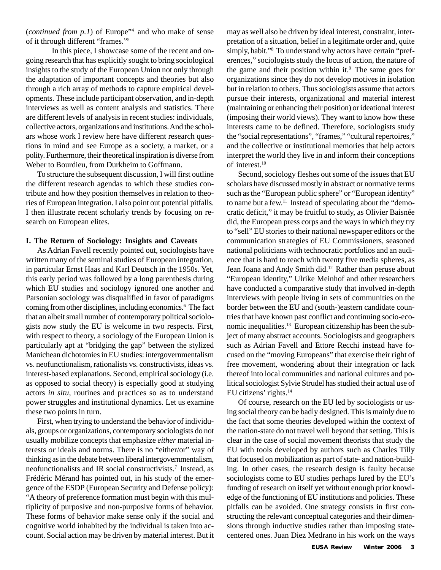(*continued from p.1*) of Europe"4 and who make of sense of it through different "frames."5

In this piece, I showcase some of the recent and ongoing research that has explicitly sought to bring sociological insights to the study of the European Union not only through the adaptation of important concepts and theories but also through a rich array of methods to capture empirical developments. These include participant observation, and in-depth interviews as well as content analysis and statistics. There are different levels of analysis in recent studies: individuals, collective actors, organizations and institutions. And the scholars whose work I review here have different research questions in mind and see Europe as a society, a market, or a polity. Furthermore, their theoretical inspiration is diverse from Weber to Bourdieu, from Durkheim to Goffmann.

To structure the subsequent discussion, I will first outline the different research agendas to which these studies contribute and how they position themselves in relation to theories of European integration. I also point out potential pitfalls. I then illustrate recent scholarly trends by focusing on research on European elites.

#### **I. The Return of Sociology: Insights and Caveats**

As Adrian Favell recently pointed out, sociologists have written many of the seminal studies of European integration, in particular Ernst Haas and Karl Deutsch in the 1950s. Yet, this early period was followed by a long parenthesis during which EU studies and sociology ignored one another and Parsonian sociology was disqualified in favor of paradigms coming from other disciplines, including economics.<sup>6</sup> The fact that an albeit small number of contemporary political sociologists now study the EU is welcome in two respects. First, with respect to theory, a sociology of the European Union is particularly apt at "bridging the gap" between the stylized Manichean dichotomies in EU studies: intergovernmentalism vs. neofunctionalism, rationalists vs. constructivists, ideas vs. interest-based explanations. Second, empirical sociology (i.e. as opposed to social theory) is especially good at studying actors *in situ,* routines and practices so as to understand power struggles and institutional dynamics. Let us examine these two points in turn.

First, when trying to understand the behavior of individuals, groups or organizations, contemporary sociologists do not usually mobilize concepts that emphasize *either* material interests *or* ideals and norms. There is no "either/or" way of thinking as in the debate between liberal intergovernmentalism, neofunctionalists and IR social constructivists.7 Instead, as Frédéric Mérand has pointed out, in his study of the emergence of the ESDP (European Security and Defense policy): "A theory of preference formation must begin with this multiplicity of purposive and non-purposive forms of behavior. These forms of behavior make sense only if the social and cognitive world inhabited by the individual is taken into account. Social action may be driven by material interest. But it

may as well also be driven by ideal interest, constraint, interpretation of a situation, belief in a legitimate order and, quite simply, habit."<sup>8</sup> To understand why actors have certain "preferences," sociologists study the locus of action, the nature of the game and their position within it. $9$  The same goes for organizations since they do not develop motives in isolation but in relation to others. Thus sociologists assume that actors pursue their interests, organizational and material interest (maintaining or enhancing their position) or ideational interest (imposing their world views). They want to know how these interests came to be defined. Therefore, sociologists study the "social representations", "frames," "cultural repertoires," and the collective or institutional memories that help actors interpret the world they live in and inform their conceptions of interest.10

Second, sociology fleshes out some of the issues that EU scholars have discussed mostly in abstract or normative terms such as the "European public sphere" or "European identity" to name but a few.11 Instead of speculating about the "democratic deficit," it may be fruitful to study, as Olivier Baisnée did, the European press corps and the ways in which they try to "sell" EU stories to their national newspaper editors or the communication strategies of EU Commissioners, seasoned national politicians with technocratic portfolios and an audience that is hard to reach with twenty five media spheres, as Jean Joana and Andy Smith did.12 Rather than peruse about "European identity," Ulrike Meinhof and other researchers have conducted a comparative study that involved in-depth interviews with people living in sets of communities on the border between the EU and (south-)eastern candidate countries that have known past conflict and continuing socio-economic inequalities.13 European citizenship has been the subject of many abstract accounts. Sociologists and geographers such as Adrian Favell and Ettore Recchi instead have focused on the "moving Europeans" that exercise their right of free movement, wondering about their integration or lack thereof into local communities and national cultures and political sociologist Sylvie Strudel has studied their actual use of EU citizens' rights.14

Of course, research on the EU led by sociologists or using social theory can be badly designed. This is mainly due to the fact that some theories developed within the context of the nation-state do not travel well beyond that setting. This is clear in the case of social movement theorists that study the EU with tools developed by authors such as Charles Tilly that focused on mobilization as part of state- and nation-building. In other cases, the research design is faulty because sociologists come to EU studies perhaps lured by the EU's funding of research on itself yet without enough prior knowledge of the functioning of EU institutions and policies. These pitfalls can be avoided. One strategy consists in first constructing the relevant conceptual categories and their dimensions through inductive studies rather than imposing statecentered ones. Juan Diez Medrano in his work on the ways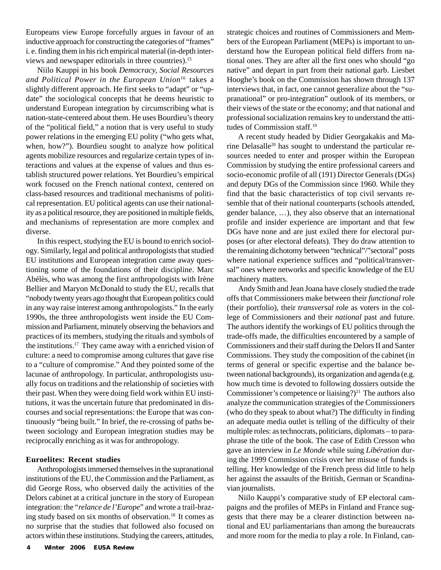Europeans view Europe forcefully argues in favour of an inductive approach for constructing the categories of "frames" i. e. finding them in his rich empirical material (in-depth interviews and newspaper editorials in three countries).15

Niilo Kauppi in his book *Democracy, Social Resources and Political Power in the European Union*<sup>16</sup> takes a slightly different approach. He first seeks to "adapt" or "update" the sociological concepts that he deems heuristic to understand European integration by circumscribing what is nation-state-centered about them. He uses Bourdieu's theory of the "political field," a notion that is very useful to study power relations in the emerging EU polity ("who gets what, when, how?"). Bourdieu sought to analyze how political agents mobilize resources and regularize certain types of interactions and values at the expense of values and thus establish structured power relations. Yet Bourdieu's empirical work focused on the French national context, centered on class-based resources and traditional mechanisms of political representation. EU political agents can use their nationality as a political resource, they are positioned in multiple fields, and mechanisms of representation are more complex and diverse.

In this respect, studying the EU is bound to enrich sociology. Similarly, legal and political anthropologists that studied EU institutions and European integration came away questioning some of the foundations of their discipline. Marc Abélès, who was among the first anthropologists with Irène Bellier and Maryon McDonald to study the EU, recalls that "nobody twenty years ago thought that European politics could in any way raise interest among anthropologists." In the early 1990s, the three anthropologists went inside the EU Commission and Parliament, minutely observing the behaviors and practices of its members, studying the rituals and symbols of the institutions.17 They came away with a enriched vision of culture: a need to compromise among cultures that gave rise to a "culture of compromise." And they pointed some of the lacunae of anthropology. In particular, anthropologists usually focus on traditions and the relationship of societies with their past. When they were doing field work within EU institutions, it was the uncertain future that predominated in discourses and social representations: the Europe that was continuously "being built." In brief, the re-crossing of paths between sociology and European integration studies may be reciprocally enriching as it was for anthropology.

#### **Euroelites: Recent studies**

Anthropologists immersed themselves in the supranational institutions of the EU, the Commission and the Parliament, as did George Ross, who observed daily the activities of the Delors cabinet at a critical juncture in the story of European integration: the "*relance de l'Europe*" and wrote a trail-brazing study based on six months of observation.18 It comes as no surprise that the studies that followed also focused on actors within these institutions. Studying the careers, attitudes, strategic choices and routines of Commissioners and Members of the European Parliament (MEPs) is important to understand how the European political field differs from national ones. They are after all the first ones who should "go native" and depart in part from their national garb. Liesbet Hooghe's book on the Commission has shown through 137 interviews that, in fact, one cannot generalize about the "supranational" or pro-integration" outlook of its members, or their views of the state or the economy; and that national and professional socialization remains key to understand the attitudes of Commission staff.<sup>19</sup>

A recent study headed by Didier Georgakakis and Marine Delasalle<sup>20</sup> has sought to understand the particular resources needed to enter and prosper within the European Commission by studying the entire professional careers and socio-economic profile of all (191) Director Generals (DGs) and deputy DGs of the Commission since 1960. While they find that the basic characteristics of top civil servants resemble that of their national counterparts (schools attended, gender balance, …), they also observe that an international profile and insider experience are important and that few DGs have none and are just exiled there for electoral purposes (or after electoral defeats). They do draw attention to the remaining dichotomy between "technical"/"sectoral" posts where national experience suffices and "political/transversal" ones where networks and specific knowledge of the EU machinery matters.

Andy Smith and Jean Joana have closely studied the trade offs that Commissioners make between their *functional* role (their portfolio), their *transversal* role as voters in the college of Commissioners and their *national* past and future. The authors identify the workings of EU politics through the trade-offs made, the difficulties encountered by a sample of Commissioners and their staff during the Delors II and Santer Commissions. They study the composition of the cabinet (in terms of general or specific expertise and the balance between national backgrounds), its organization and agenda (e.g. how much time is devoted to following dossiers outside the Commissioner's competence or liaising?)<sup>21</sup> The authors also analyze the communication strategies of the Commissioners (who do they speak to about what?) The difficulty in finding an adequate media outlet is telling of the difficulty of their multiple roles: as technocrats, politicians, diplomats – to paraphrase the title of the book. The case of Edith Cresson who gave an interview in *Le Monde* while suing *Libération* during the 1999 Commission crisis over her misuse of funds is telling. Her knowledge of the French press did little to help her against the assaults of the British, German or Scandinavian journalists.

Niilo Kauppi's comparative study of EP electoral campaigns and the profiles of MEPs in Finland and France suggests that there may be a clearer distinction between national and EU parliamentarians than among the bureaucrats and more room for the media to play a role. In Finland, can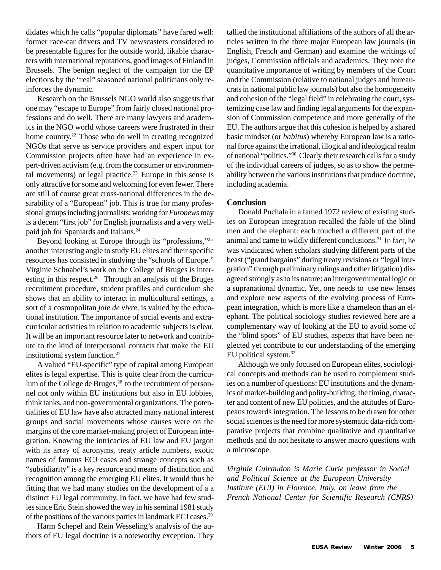didates which he calls "popular diplomats" have fared well: former race-car drivers and TV newscasters considered to be presentable figures for the outside world, likable characters with international reputations, good images of Finland in Brussels. The benign neglect of the campaign for the EP elections by the "real" seasoned national politicians only reinforces the dynamic.

Research on the Brussels NGO world also suggests that one may "escape to Europe" from fairly closed national professions and do well. There are many lawyers and academics in the NGO world whose careers were frustrated in their home country.<sup>22</sup> Those who do well in creating recognized NGOs that serve as service providers and expert input for Commission projects often have had an experience in expert-driven activism (e.g. from the consumer or environmental movements) or legal practice.<sup>23</sup> Europe in this sense is only attractive for some and welcoming for even fewer. There are still of course great cross-national differences in the desirability of a "European" job. This is true for many professional groups including journalists: working for *Euronews* may is a decent "first job" for English journalists and a very wellpaid job for Spaniards and Italians.24

Beyond looking at Europe through its "professions,"25 another interesting angle to study EU elites and their specific resources has consisted in studying the "schools of Europe." Virginie Schnabel's work on the College of Bruges is interesting in this respect.<sup>26</sup> Through an analysis of the Bruges recruitment procedure, student profiles and curriculum she shows that an ability to interact in multicultural settings, a sort of a cosmopolitan *joie de vivre,* is valued by the educational institution. The importance of social events and extracurricular activities in relation to academic subjects is clear. It will be an important resource later to network and contribute to the kind of interpersonal contacts that make the EU institutional system function.27

A valued "EU-specific" type of capital among European elites is legal expertise. This is quite clear from the curriculum of the College de Bruges,<sup>28</sup> to the recruitment of personnel not only within EU institutions but also in EU lobbies, think tanks, and non-governmental organizations. The potentialities of EU law have also attracted many national interest groups and social movements whose causes were on the margins of the core market-making project of European integration. Knowing the intricacies of EU law and EU jargon with its array of acronyms, treaty article numbers, exotic names of famous ECJ cases and strange concepts such as "subsidiarity" is a key resource and means of distinction and recognition among the emerging EU elites. It would thus be fitting that we had many studies on the development of a a distinct EU legal community. In fact, we have had few studies since Eric Stein showed the way in his seminal 1981 study of the positions of the various parties in landmark ECJ cases.29

Harm Schepel and Rein Wesseling's analysis of the authors of EU legal doctrine is a noteworthy exception. They tallied the institutional affiliations of the authors of all the articles written in the three major European law journals (in English, French and German) and examine the writings of judges, Commission officials and academics. They note the quantitative importance of writing by members of the Court and the Commission (relative to national judges and bureaucrats in national public law journals) but also the homogeneity and cohesion of the "legal field" in celebrating the court, systemizing case law and finding legal arguments for the expansion of Commission competence and more generally of the EU. The authors argue that this cohesion is helped by a shared basic mindset (or *habitus*) whereby European law is a rational force against the irrational, illogical and ideological realm of national "politics."30 Clearly their research calls for a study of the individual careers of judges, so as to show the permeability between the various institutions that produce doctrine, including academia.

#### **Conclusion**

Donald Puchala in a famed 1972 review of existing studies on European integration recalled the fable of the blind men and the elephant: each touched a different part of the animal and came to wildly different conclusions.31 In fact, he was vindicated when scholars studying different parts of the beast ("grand bargains" during treaty revisions or "legal integration" through preliminary rulings and other litigation) disagreed strongly as to its nature: an intergovernmental logic or a supranational dynamic. Yet, one needs to use new lenses and explore new aspects of the evolving process of European integration, which is more like a chameleon than an elephant. The political sociology studies reviewed here are a complementary way of looking at the EU to avoid some of the "blind spots" of EU studies, aspects that have been neglected yet contribute to our understanding of the emerging EU political system.32

Although we only focused on European elites, sociological concepts and methods can be used to complement studies on a number of questions: EU institutions and the dynamics of market-building and polity-building, the timing, character and content of new EU policies, and the attitudes of Europeans towards integration. The lessons to be drawn for other social sciences is the need for more systematic data-rich comparative projects that combine qualitative and quantitative methods and do not hesitate to answer macro questions with a microscope.

*Virginie Guiraudon is Marie Curie professor in Social and Political Science at the European University Institute (EUI) in Florence, Italy, on leave from the French National Center for Scientific Research (CNRS)*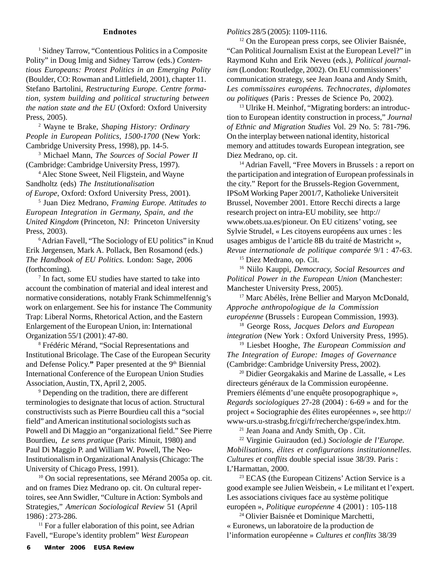#### **Endnotes**

<sup>1</sup> Sidney Tarrow, "Contentious Politics in a Composite Polity" in Doug Imig and Sidney Tarrow (eds.) *Contentious Europeans: Protest Politics in an Emerging Polity* (Boulder, CO: Rowman and Littlefield, 2001), chapter 11. Stefano Bartolini, *Restructuring Europe. Centre formation, system building and political structuring between the nation state and the EU* (Oxford: Oxford University Press, 2005).

2 Wayne te Brake, *Shaping History: Ordinary People in European Politics, 1500-1700* (New York: Cambridge University Press, 1998), pp. 14-5.

3 Michael Mann, *The Sources of Social Power II* (Cambridge: Cambridge University Press, 1997).

4 Alec Stone Sweet, Neil Fligstein, and Wayne Sandholtz (eds) *The Institutionalisation of Europe*, Oxford: Oxford University Press, 2001).

5 Juan Diez Medrano, *Framing Europe. Attitudes to European Integration in Germany, Spain, and the United Kingdom* (Princeton, NJ: Princeton University Press, 2003).

6 Adrian Favell, "The Sociology of EU politics" in Knud Erik Jørgensen, Mark A. Pollack, Ben Rosamond (eds.) *The Handbook of EU Politics.* London: Sage, 2006 (forthcoming).

7 In fact, some EU studies have started to take into account the combination of material and ideal interest and normative considerations, notably Frank Schimmelfennig's work on enlargement. See his for instance The Community Trap: Liberal Norms, Rhetorical Action, and the Eastern Enlargement of the European Union, in: International Organization 55/1 (2001): 47-80.

8 Frédéric Mérand, "Social Representations and Institutional Bricolage. The Case of the European Security and Defense Policy." Paper presented at the 9<sup>th</sup> Biennial International Conference of the European Union Studies Association, Austin, TX, April 2, 2005.

<sup>9</sup> Depending on the tradition, there are different terminologies to designate that locus of action. Structural constructivists such as Pierre Bourdieu call this a "social field" and American institutional sociologists such as Powell and Di Maggio an "organizational field." See Pierre Bourdieu, *Le sens pratique* (Paris: Minuit, 1980) and Paul Di Maggio P. and William W. Powell, The Neo-Institutionalism in Organizational Analysis (Chicago: The University of Chicago Press, 1991).

<sup>10</sup> On social representations, see Mérand 2005a op. cit. and on frames Diez Medrano op. cit. On cultural repertoires, see Ann Swidler, "Culture in Action: Symbols and Strategies," *American Sociological Review* 51 (April 1986) : 273-286.

<sup>11</sup> For a fuller elaboration of this point, see Adrian Favell, "Europe's identity problem" *West European*

*Politics* 28/5 (2005): 1109-1116.

<sup>12</sup> On the European press corps, see Olivier Baisnée, "Can Political Journalism Exist at the European Level?" in Raymond Kuhn and Erik Neveu (eds.), *Political journalism* (London: Routledge, 2002). On EU commissioners' communication strategy, see Jean Joana and Andy Smith, *Les commissaires européens. Technocrates, diplomates ou politiques* (Paris : Presses de Science Po, 2002).

13 Ulrike H. Meinhof, "Migrating borders: an introduction to European identity construction in process," *Journal of Ethnic and Migration Studies* Vol. 29 No. 5: 781-796. On the interplay between national identity, historical memory and attitudes towards European integration, see Diez Medrano, op. cit.

<sup>14</sup> Adrian Favell, "Free Movers in Brussels : a report on the participation and integration of European professinals in the city." Report for the Brussels-Region Government, IPSoM Working Paper 2001/7, Katholieke Universiteit Brussel, November 2001. Ettore Recchi directs a large research project on intra-EU mobility, see http:// www.obets.ua.es/pioneur. On EU citizens' voting, see Sylvie Strudel, « Les citoyens européens aux urnes : les usages ambigus de l'article 8B du traité de Mastricht », *Revue internationale de politique comparée* 9/1 : 47-63.

15 Diez Medrano, op. Cit.

16 Niilo Kauppi, *Democracy, Social Resources and Political Power in the European Union* (Manchester: Manchester University Press, 2005).

<sup>17</sup> Marc Abélès, Irène Bellier and Maryon McDonald, *Approche anthropologique de la Commission européenne* (Brussels : European Commission, 1993).

18 George Ross, *Jacques Delors and European integration* (New York : Oxford University Press, 1995).

19 Liesbet Hooghe, *The European Commission and The Integration of Europe: Images of Governance* (Cambridge: Cambridge University Press, 2002).

20 Didier Georgakakis and Marine de Lassalle, « Les directeurs généraux de la Commission européenne. Premiers éléments d'une enquête prosopographique », *Regards sociologiques* 27-28 (2004) : 6-69 » and for the project « Sociographie des élites européennes », see http:// www-urs.u-strasbg.fr/cgi/fr/recherche/gspe/index.htm.

21 Jean Joana and Andy Smith, Op . Cit.

22 Virginie Guiraudon (ed.) *Sociologie de l'Europe. Mobilisations, élites et configurations institutionnelles. Cultures et conflits* double special issue 38/39. Paris : L'Harmattan, 2000.

23 ECAS (the European Citizens' Action Service is a good example see Julien Weisbein, « Le militant et l'expert. Les associations civiques face au système politique européen », *Politique européenne* 4 (2001) : 105-118

24 Olivier Baisnée et Dominique Marchetti, « Euronews, un laboratoire de la production de l'information européenne » *Cultures et conflits* 38/39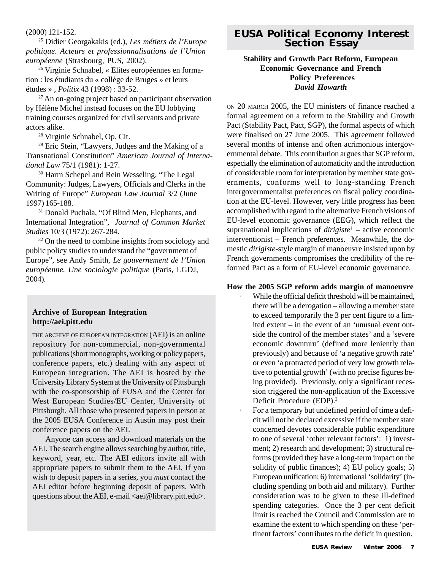(2000) 121-152.

25 Didier Georgakakis (ed.), *Les métiers de l'Europe politique. Acteurs et professionnalisations de l'Union européenne* (Strasbourg, PUS, 2002).

26 Virginie Schnabel, « Elites européennes en formation : les étudiants du « collège de Bruges » et leurs études » , *Politix* 43 (1998) : 33-52.

 $27$  An on-going project based on participant observation by Hélène Michel instead focuses on the EU lobbying training courses organized for civil servants and private actors alike.

28 Virginie Schnabel, Op. Cit.

29 Eric Stein, "Lawyers, Judges and the Making of a Transnational Constitution" *American Journal of International Law* 75/1 (1981): 1-27.

<sup>30</sup> Harm Schepel and Rein Wesseling, "The Legal Community: Judges, Lawyers, Officials and Clerks in the Writing of Europe" *European Law Journal* 3/2 (June 1997) 165-188.

31 Donald Puchala, "Of Blind Men, Elephants, and International Integration", *Journal of Common Market Studies* 10/3 (1972): 267-284.

<sup>32</sup> On the need to combine insights from sociology and public policy studies to understand the "government of Europe", see Andy Smith, *Le gouvernement de l'Union européenne. Une sociologie politique* (Paris, LGDJ, 2004).

#### **Archive of European Integration http://aei.pitt.edu**

THE ARCHIVE OF EUROPEAN INTEGRATION (AEI) is an online repository for non-commercial, non-governmental publications (short monographs, working or policy papers, conference papers, etc.) dealing with any aspect of European integration. The AEI is hosted by the University Library System at the University of Pittsburgh with the co-sponsorship of EUSA and the Center for West European Studies/EU Center, University of Pittsburgh. All those who presented papers in person at the 2005 EUSA Conference in Austin may post their conference papers on the AEI.

Anyone can access and download materials on the AEI. The search engine allows searching by author, title, keyword, year, etc. The AEI editors invite all with appropriate papers to submit them to the AEI. If you wish to deposit papers in a series, you *must* contact the AEI editor before beginning deposit of papers. With questions about the AEI, e-mail  $\langle$ aei@library.pitt.edu>.

# **EUSA Political Economy Interest Section Essay**

#### **Stability and Growth Pact Reform, European Economic Governance and French Policy Preferences** *David Howarth*

ON 20 MARCH 2005, the EU ministers of finance reached a formal agreement on a reform to the Stability and Growth Pact (Stability Pact, Pact, SGP), the formal aspects of which were finalised on 27 June 2005. This agreement followed several months of intense and often acrimonious intergovernmental debate. This contribution argues that SGP reform, especially the elimination of automaticity and the introduction of considerable room for interpretation by member state governments, conforms well to long-standing French intergovernmentalist preferences on fiscal policy coordination at the EU-level. However, very little progress has been accomplished with regard to the alternative French visions of EU-level economic governance (EEG), which reflect the supranational implications of *dirigiste*1 – active economic interventionist – French preferences. Meanwhile, the domestic *dirigiste-*style margin of manoeuvre insisted upon by French governments compromises the credibility of the reformed Pact as a form of EU-level economic governance.

#### **How the 2005 SGP reform adds margin of manoeuvre**

While the official deficit threshold will be maintained, there will be a derogation – allowing a member state to exceed temporarily the 3 per cent figure to a limited extent – in the event of an 'unusual event outside the control of the member states' and a 'severe economic downturn' (defined more leniently than previously) and because of 'a negative growth rate' or even 'a protracted period of very low growth relative to potential growth' (with no precise figures being provided). Previously, only a significant recession triggered the non-application of the Excessive Deficit Procedure (EDP).<sup>2</sup>

For a temporary but undefined period of time a deficit will not be declared excessive if the member state concerned devotes considerable public expenditure to one of several 'other relevant factors': 1) investment; 2) research and development; 3) structural reforms (provided they have a long-term impact on the solidity of public finances); 4) EU policy goals; 5) European unification; 6) international 'solidarity' (including spending on both aid and military). Further consideration was to be given to these ill-defined spending categories. Once the 3 per cent deficit limit is reached the Council and Commission are to examine the extent to which spending on these 'pertinent factors' contributes to the deficit in question.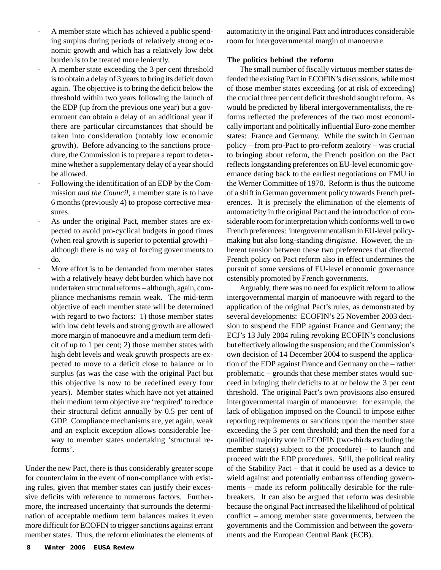- A member state which has achieved a public spending surplus during periods of relatively strong economic growth and which has a relatively low debt burden is to be treated more leniently.
- A member state exceeding the 3 per cent threshold is to obtain a delay of 3 years to bring its deficit down again. The objective is to bring the deficit below the threshold within two years following the launch of the EDP (up from the previous one year) but a government can obtain a delay of an additional year if there are particular circumstances that should be taken into consideration (notably low economic growth). Before advancing to the sanctions procedure, the Commission is to prepare a report to determine whether a supplementary delay of a year should be allowed.
- Following the identification of an EDP by the Commission *and the Council*, a member state is to have 6 months (previously 4) to propose corrective measures.
- As under the original Pact, member states are expected to avoid pro-cyclical budgets in good times (when real growth is superior to potential growth) – although there is no way of forcing governments to do.
- More effort is to be demanded from member states with a relatively heavy debt burden which have not undertaken structural reforms – although, again, compliance mechanisms remain weak. The mid-term objective of each member state will be determined with regard to two factors: 1) those member states with low debt levels and strong growth are allowed more margin of manoeuvre and a medium term deficit of up to 1 per cent; 2) those member states with high debt levels and weak growth prospects are expected to move to a deficit close to balance or in surplus (as was the case with the original Pact but this objective is now to be redefined every four years). Member states which have not yet attained their medium term objective are 'required' to reduce their structural deficit annually by 0.5 per cent of GDP. Compliance mechanisms are, yet again, weak and an explicit exception allows considerable leeway to member states undertaking 'structural reforms'.

Under the new Pact, there is thus considerably greater scope for counterclaim in the event of non-compliance with existing rules, given that member states can justify their excessive deficits with reference to numerous factors. Furthermore, the increased uncertainty that surrounds the determination of acceptable medium term balances makes it even more difficult for ECOFIN to trigger sanctions against errant member states. Thus, the reform eliminates the elements of automaticity in the original Pact and introduces considerable room for intergovernmental margin of manoeuvre.

#### **The politics behind the reform**

The small number of fiscally virtuous member states defended the existing Pact in ECOFIN's discussions, while most of those member states exceeding (or at risk of exceeding) the crucial three per cent deficit threshold sought reform. As would be predicted by liberal intergovernmentalists, the reforms reflected the preferences of the two most economically important and politically influential Euro-zone member states: France and Germany. While the switch in German policy – from pro-Pact to pro-reform zealotry – was crucial to bringing about reform, the French position on the Pact reflects longstanding preferences on EU-level economic governance dating back to the earliest negotiations on EMU in the Werner Committee of 1970. Reform is thus the outcome of a shift in German government policy towards French preferences. It is precisely the elimination of the elements of automaticity in the original Pact and the introduction of considerable room for interpretation which conforms well to two French preferences: intergovernmentalism in EU-level policymaking but also long-standing *dirigisme*. However, the inherent tension between these two preferences that directed French policy on Pact reform also in effect undermines the pursuit of some versions of EU-level economic governance ostensibly promoted by French governments.

Arguably, there was no need for explicit reform to allow intergovernmental margin of manoeuvre with regard to the application of the original Pact's rules, as demonstrated by several developments: ECOFIN's 25 November 2003 decision to suspend the EDP against France and Germany; the ECJ's 13 July 2004 ruling revoking ECOFIN's conclusions but effectively allowing the suspension; and the Commission's own decision of 14 December 2004 to suspend the application of the EDP against France and Germany on the – rather problematic – grounds that these member states would succeed in bringing their deficits to at or below the 3 per cent threshold. The original Pact's own provisions also ensured intergovernmental margin of manoeuvre: for example, the lack of obligation imposed on the Council to impose either reporting requirements or sanctions upon the member state exceeding the 3 per cent threshold; and then the need for a qualified majority vote in ECOFIN (two-thirds excluding the member state(s) subject to the procedure) – to launch and proceed with the EDP procedures. Still, the political reality of the Stability Pact – that it could be used as a device to wield against and potentially embarrass offending governments – made its reform politically desirable for the rulebreakers. It can also be argued that reform was desirable because the original Pact increased the likelihood of political conflict – among member state governments, between the governments and the Commission and between the governments and the European Central Bank (ECB).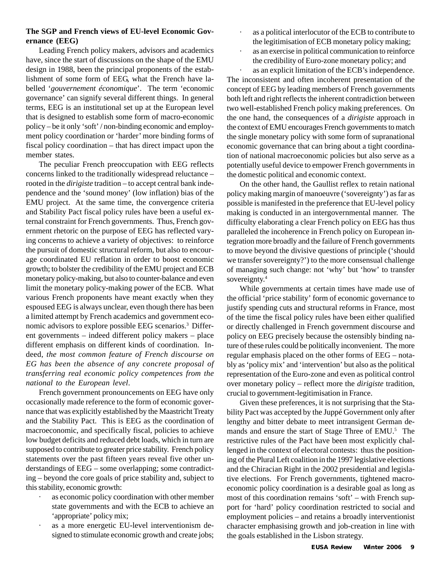#### **The SGP and French views of EU-level Economic Governance (EEG)**

Leading French policy makers, advisors and academics have, since the start of discussions on the shape of the EMU design in 1988, been the principal proponents of the establishment of some form of EEG, what the French have labelled '*gouvernement économique*'. The term 'economic governance' can signify several different things. In general terms, EEG is an institutional set up at the European level that is designed to establish some form of macro-economic policy – be it only 'soft' / non-binding economic and employment policy coordination or 'harder' more binding forms of fiscal policy coordination – that has direct impact upon the member states.

The peculiar French preoccupation with EEG reflects concerns linked to the traditionally widespread reluctance – rooted in the *dirigiste* tradition – to accept central bank independence and the 'sound money' (low inflation) bias of the EMU project. At the same time, the convergence criteria and Stability Pact fiscal policy rules have been a useful external constraint for French governments. Thus, French government rhetoric on the purpose of EEG has reflected varying concerns to achieve a variety of objectives: to reinforce the pursuit of domestic structural reform, but also to encourage coordinated EU reflation in order to boost economic growth; to bolster the credibility of the EMU project and ECB monetary policy-making, but also to counter-balance and even limit the monetary policy-making power of the ECB. What various French proponents have meant exactly when they espoused EEG is always unclear, even though there has been a limited attempt by French academics and government economic advisors to explore possible EEG scenarios.3 Different governments – indeed different policy makers – place different emphasis on different kinds of coordination. Indeed, *the most common feature of French discourse on EG has been the absence of any concrete proposal of transferring real economic policy competences from the national to the European level*.

French government pronouncements on EEG have only occasionally made reference to the form of economic governance that was explicitly established by the Maastricht Treaty and the Stability Pact. This is EEG as the coordination of macroeconomic, and specifically fiscal, policies to achieve low budget deficits and reduced debt loads, which in turn are supposed to contribute to greater price stability. French policy statements over the past fifteen years reveal five other understandings of EEG – some overlapping; some contradicting – beyond the core goals of price stability and, subject to this stability, economic growth:

- as economic policy coordination with other member state governments and with the ECB to achieve an 'appropriate' policy mix;
- as a more energetic EU-level interventionism designed to stimulate economic growth and create jobs;
- as a political interlocutor of the ECB to contribute to the legitimisation of ECB monetary policy making;
- as an exercise in political communication to reinforce the credibility of Euro-zone monetary policy; and

as an explicit limitation of the ECB's independence. The inconsistent and often incoherent presentation of the concept of EEG by leading members of French governments both left and right reflects the inherent contradiction between two well-established French policy making preferences. On the one hand, the consequences of a *dirigiste* approach in the context of EMU encourages French governments to match the single monetary policy with some form of supranational economic governance that can bring about a tight coordination of national macroeconomic policies but also serve as a potentially useful device to empower French governments in the domestic political and economic context.

On the other hand, the Gaullist reflex to retain national policy making margin of manoeuvre ('sovereignty') as far as possible is manifested in the preference that EU-level policy making is conducted in an intergovernmental manner. The difficulty elaborating a clear French policy on EEG has thus paralleled the incoherence in French policy on European integration more broadly and the failure of French governments to move beyond the divisive questions of principle ('should we transfer sovereignty?') to the more consensual challenge of managing such change: not 'why' but 'how' to transfer sovereignty.<sup>4</sup>

While governments at certain times have made use of the official 'price stability' form of economic governance to justify spending cuts and structural reforms in France, most of the time the fiscal policy rules have been either qualified or directly challenged in French government discourse and policy on EEG precisely because the ostensibly binding nature of these rules could be politically inconvenient. The more regular emphasis placed on the other forms of EEG – notably as 'policy mix' and 'intervention' but also as the political representation of the Euro-zone and even as political control over monetary policy – reflect more the *dirigiste* tradition, crucial to government-legitimisation in France.

Given these preferences, it is not surprising that the Stability Pact was accepted by the Juppé Government only after lengthy and bitter debate to meet intransigent German demands and ensure the start of Stage Three of EMU.<sup>5</sup> The restrictive rules of the Pact have been most explicitly challenged in the context of electoral contests: thus the positioning of the Plural Left coalition in the 1997 legislative elections and the Chiracian Right in the 2002 presidential and legislative elections. For French governments, tightened macroeconomic policy coordination is a desirable goal as long as most of this coordination remains 'soft' – with French support for 'hard' policy coordination restricted to social and employment policies – and retains a broadly interventionist character emphasising growth and job-creation in line with the goals established in the Lisbon strategy.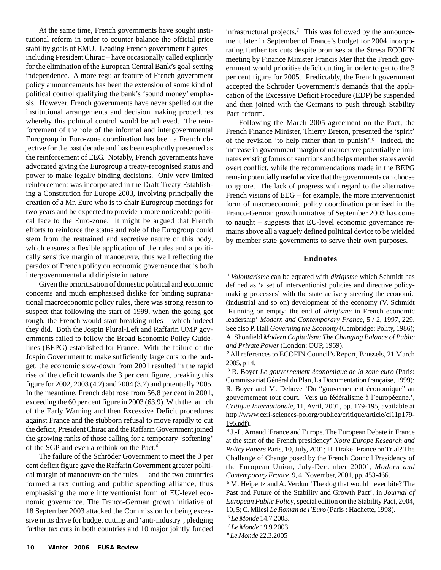At the same time, French governments have sought institutional reform in order to counter-balance the official price stability goals of EMU. Leading French government figures – including President Chirac – have occasionally called explicitly for the elimination of the European Central Bank's goal-setting independence. A more regular feature of French government policy announcements has been the extension of some kind of political control qualifying the bank's 'sound money' emphasis. However, French governments have never spelled out the institutional arrangements and decision making procedures whereby this political control would be achieved. The reinforcement of the role of the informal and intergovernmental Eurogroup in Euro-zone coordination has been a French objective for the past decade and has been explicitly presented as the reinforcement of EEG. Notably, French governments have advocated giving the Eurogroup a treaty-recognised status and power to make legally binding decisions. Only very limited reinforcement was incorporated in the Draft Treaty Establishing a Constitution for Europe 2003, involving principally the creation of a Mr. Euro who is to chair Eurogroup meetings for two years and be expected to provide a more noticeable political face to the Euro-zone. It might be argued that French efforts to reinforce the status and role of the Eurogroup could stem from the restrained and secretive nature of this body, which ensures a flexible application of the rules and a politically sensitive margin of manoeuvre, thus well reflecting the paradox of French policy on economic governance that is both intergovernmental and dirigiste in nature.

Given the prioritisation of domestic political and economic concerns and much emphasised dislike for binding supranational macroeconomic policy rules, there was strong reason to suspect that following the start of 1999, when the going got tough, the French would start breaking rules – which indeed they did. Both the Jospin Plural-Left and Raffarin UMP governments failed to follow the Broad Economic Policy Guidelines (BEPG) established for France. With the failure of the Jospin Government to make sufficiently large cuts to the budget, the economic slow-down from 2001 resulted in the rapid rise of the deficit towards the 3 per cent figure, breaking this figure for 2002, 2003 (4.2) and 2004 (3.7) and potentially 2005. In the meantime, French debt rose from 56.8 per cent in 2001, exceeding the 60 per cent figure in 2003 (63.9). With the launch of the Early Warning and then Excessive Deficit procedures against France and the stubborn refusal to move rapidly to cut the deficit, President Chirac and the Raffarin Government joined the growing ranks of those calling for a temporary 'softening' of the SGP and even a rethink on the Pact.6

The failure of the Schröder Government to meet the 3 per cent deficit figure gave the Raffarin Government greater political margin of manoeuvre on the rules — and the two countries formed a tax cutting and public spending alliance, thus emphasising the more interventionist form of EU-level economic governance. The Franco-German growth initiative of 18 September 2003 attacked the Commission for being excessive in its drive for budget cutting and 'anti-industry', pledging further tax cuts in both countries and 10 major jointly funded

infrastructural projects.<sup>7</sup> This was followed by the announcement later in September of France's budget for 2004 incorporating further tax cuts despite promises at the Stresa ECOFIN meeting by Finance Minister Francis Mer that the French government would prioritise deficit cutting in order to get to the 3 per cent figure for 2005. Predictably, the French government accepted the Schröder Government's demands that the application of the Excessive Deficit Procedure (EDP) be suspended and then joined with the Germans to push through Stability Pact reform.

Following the March 2005 agreement on the Pact, the French Finance Minister, Thierry Breton, presented the 'spirit' of the revision 'to help rather than to punish'.8 Indeed, the increase in government margin of manoeuvre potentially eliminates existing forms of sanctions and helps member states avoid overt conflict, while the recommendations made in the BEPG remain potentially useful advice that the governments can choose to ignore. The lack of progress with regard to the alternative French visions of EEG – for example, the more interventionist form of macroeconomic policy coordination promised in the Franco-German growth initiative of September 2003 has come to naught – suggests that EU-level economic governance remains above all a vaguely defined political device to be wielded by member state governments to serve their own purposes.

#### **Endnotes**

<sup>1</sup>*Volontarisme* can be equated with *dirigisme* which Schmidt has defined as 'a set of interventionist policies and directive policymaking processes' with the state actively steering the economic (industrial and so on) development of the economy (V. Schmidt 'Running on empty: the end of *dirigisme* in French economic leadership' *Modern and Contemporary France*, 5 / 2, 1997, 229. See also P. Hall *Governing the Economy* (Cambridge: Polity, 1986); A. Shonfield *Modern Capitalism: The Changing Balance of Public and Private Power* (London: OUP, 1969).

<sup>2</sup> All references to ECOFIN Council's Report, Brussels, 21 March 2005, p 14.

3 R. Boyer *Le gouvernement économique de la zone euro* (Paris: Commissariat Général du Plan, La Documentation française, 1999); R. Boyer and M. Dehove 'Du "gouvernement économique" au gouvernement tout court. Vers un fédéralisme à l'européenne.', *Critique Internationale*, 11, Avril, 2001, pp. 179-195, available at http://www.ceri-sciences-po.org/publica/critique/article/ci11p179- 195.pdf).

4 J.-L. Arnaud 'France and Europe. The European Debate in France at the start of the French presidency' *Notre Europe Research and Policy Papers* Paris, 10, July, 2001; H. Drake 'France on Trial? The Challenge of Change posed by the French Council Presidency of the European Union, July-December 2000', *Modern and Contemporary France*, 9, 4, November, 2001, pp. 453-466.

<sup>5</sup> M. Heipertz and A. Verdun 'The dog that would never bite? The Past and Future of the Stability and Growth Pact', in *Journal of European Public Policy*, special edition on the Stability Pact, 2004, 10, 5; G. Milesi *Le Roman de l'Euro* (Paris : Hachette, 1998).

- <sup>6</sup> *Le Monde* 14.7.2003.
- <sup>7</sup> *Le Monde* 19.9.2003

<sup>8</sup> *Le Monde* 22.3.2005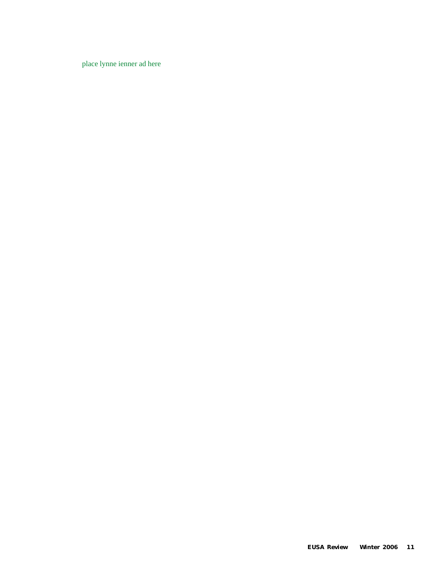place lynne ienner ad here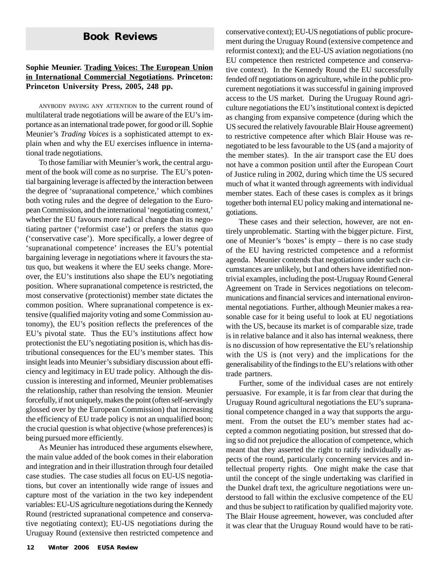#### **Sophie Meunier. Trading Voices: The European Union in International Commercial Negotiations. Princeton: Princeton University Press, 2005, 248 pp.**

ANYBODY PAYING ANY ATTENTION to the current round of multilateral trade negotiations will be aware of the EU's importance as an international trade power, for good or ill. Sophie Meunier's *Trading Voices* is a sophisticated attempt to explain when and why the EU exercises influence in international trade negotiations.

To those familiar with Meunier's work, the central argument of the book will come as no surprise. The EU's potential bargaining leverage is affected by the interaction between the degree of 'supranational competence,' which combines both voting rules and the degree of delegation to the European Commission, and the international 'negotiating context,' whether the EU favours more radical change than its negotiating partner ('reformist case') or prefers the status quo ('conservative case'). More specifically, a lower degree of 'supranational competence' increases the EU's potential bargaining leverage in negotiations where it favours the status quo, but weakens it where the EU seeks change. Moreover, the EU's institutions also shape the EU's negotiating position. Where supranational competence is restricted, the most conservative (protectionist) member state dictates the common position. Where supranational competence is extensive (qualified majority voting and some Commission autonomy), the EU's position reflects the preferences of the EU's pivotal state. Thus the EU's institutions affect how protectionist the EU's negotiating position is, which has distributional consequences for the EU's member states. This insight leads into Meunier's subsidiary discussion about efficiency and legitimacy in EU trade policy. Although the discussion is interesting and informed, Meunier problematises the relationship, rather than resolving the tension. Meunier forcefully, if not uniquely, makes the point (often self-servingly glossed over by the European Commission) that increasing the efficiency of EU trade policy is not an unqualified boon; the crucial question is what objective (whose preferences) is being pursued more efficiently.

As Meunier has introduced these arguments elsewhere, the main value added of the book comes in their elaboration and integration and in their illustration through four detailed case studies. The case studies all focus on EU-US negotiations, but cover an intentionally wide range of issues and capture most of the variation in the two key independent variables: EU-US agriculture negotiations during the Kennedy Round (restricted supranational competence and conservative negotiating context); EU-US negotiations during the Uruguay Round (extensive then restricted competence and

**Book Reviews** conservative context); EU-US negotiations of public procurement during the Uruguay Round (extensive competence and reformist context); and the EU-US aviation negotiations (no EU competence then restricted competence and conservative context). In the Kennedy Round the EU successfully fended off negotiations on agriculture, while in the public procurement negotiations it was successful in gaining improved access to the US market. During the Uruguay Round agriculture negotiations the EU's institutional context is depicted as changing from expansive competence (during which the US secured the relatively favourable Blair House agreement) to restrictive competence after which Blair House was renegotiated to be less favourable to the US (and a majority of the member states). In the air transport case the EU does not have a common position until after the European Court of Justice ruling in 2002, during which time the US secured much of what it wanted through agreements with individual member states. Each of these cases is complex as it brings together both internal EU policy making and international negotiations.

> These cases and their selection, however, are not entirely unproblematic. Starting with the bigger picture. First, one of Meunier's 'boxes' is empty – there is no case study of the EU having restricted competence and a reformist agenda. Meunier contends that negotiations under such circumstances are unlikely, but I and others have identified nontrivial examples, including the post-Uruguay Round General Agreement on Trade in Services negotiations on telecommunications and financial services and international environmental negotiations. Further, although Meunier makes a reasonable case for it being useful to look at EU negotiations with the US, because its market is of comparable size, trade is in relative balance and it also has internal weakness, there is no discussion of how representative the EU's relationship with the US is (not very) and the implications for the generalisability of the findings to the EU's relations with other trade partners.

> Further, some of the individual cases are not entirely persuasive. For example, it is far from clear that during the Uruguay Round agricultural negotiations the EU's supranational competence changed in a way that supports the argument. From the outset the EU's member states had accepted a common negotiating position, but stressed that doing so did not prejudice the allocation of competence, which meant that they asserted the right to ratify individually aspects of the round, particularly concerning services and intellectual property rights. One might make the case that until the concept of the single undertaking was clarified in the Dunkel draft text, the agriculture negotiations were understood to fall within the exclusive competence of the EU and thus be subject to ratification by qualified majority vote. The Blair House agreement, however, was concluded after it was clear that the Uruguay Round would have to be rati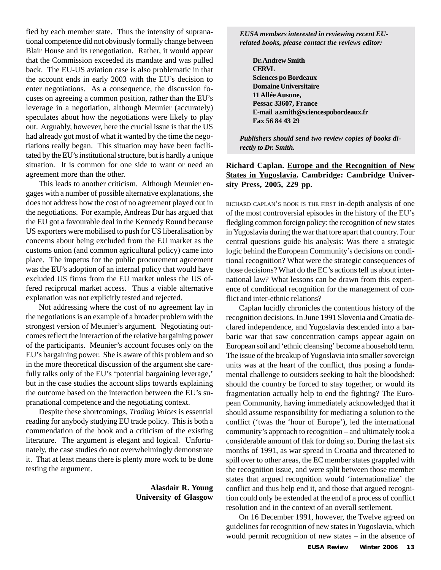fied by each member state. Thus the intensity of supranational competence did not obviously formally change between Blair House and its renegotiation. Rather, it would appear that the Commission exceeded its mandate and was pulled back. The EU-US aviation case is also problematic in that the account ends in early 2003 with the EU's decision to enter negotiations. As a consequence, the discussion focuses on agreeing a common position, rather than the EU's leverage in a negotiation, although Meunier (accurately) speculates about how the negotiations were likely to play out. Arguably, however, here the crucial issue is that the US had already got most of what it wanted by the time the negotiations really began. This situation may have been facilitated by the EU's institutional structure, but is hardly a unique situation. It is common for one side to want or need an agreement more than the other.

This leads to another criticism. Although Meunier engages with a number of possible alternative explanations, she does not address how the cost of no agreement played out in the negotiations. For example, Andreas Dür has argued that the EU got a favourable deal in the Kennedy Round because US exporters were mobilised to push for US liberalisation by concerns about being excluded from the EU market as the customs union (and common agricultural policy) came into place. The impetus for the public procurement agreement was the EU's adoption of an internal policy that would have excluded US firms from the EU market unless the US offered reciprocal market access. Thus a viable alternative explanation was not explicitly tested and rejected.

Not addressing where the cost of no agreement lay in the negotiations is an example of a broader problem with the strongest version of Meunier's argument. Negotiating outcomes reflect the interaction of the relative bargaining power of the participants. Meunier's account focuses only on the EU's bargaining power. She is aware of this problem and so in the more theoretical discussion of the argument she carefully talks only of the EU's 'potential bargaining leverage,' but in the case studies the account slips towards explaining the outcome based on the interaction between the EU's supranational competence and the negotiating context.

Despite these shortcomings, *Trading Voices* is essential reading for anybody studying EU trade policy. This is both a commendation of the book and a criticism of the existing literature. The argument is elegant and logical. Unfortunately, the case studies do not overwhelmingly demonstrate it. That at least means there is plenty more work to be done testing the argument.

#### **Alasdair R. Young University of Glasgow**

*EUSA members interested in reviewing recent EUrelated books, please contact the reviews editor:*

**Dr. Andrew Smith CERVL Sciences po Bordeaux Domaine Universitaire 11 Allée Ausone, Pessac 33607, France E-mail a.smith@sciencespobordeaux.fr Fax 56 84 43 29**

*Publishers should send two review copies of books directly to Dr. Smith.*

#### **Richard Caplan. Europe and the Recognition of New States in Yugoslavia. Cambridge: Cambridge University Press, 2005, 229 pp.**

RICHARD CAPLAN'S BOOK IS THE FIRST in-depth analysis of one of the most controversial episodes in the history of the EU's fledgling common foreign policy: the recognition of new states in Yugoslavia during the war that tore apart that country. Four central questions guide his analysis: Was there a strategic logic behind the European Community's decisions on conditional recognition? What were the strategic consequences of those decisions? What do the EC's actions tell us about international law? What lessons can be drawn from this experience of conditional recognition for the management of conflict and inter-ethnic relations?

Caplan lucidly chronicles the contentious history of the recognition decisions. In June 1991 Slovenia and Croatia declared independence, and Yugoslavia descended into a barbaric war that saw concentration camps appear again on European soil and 'ethnic cleansing' become a household term. The issue of the breakup of Yugoslavia into smaller sovereign units was at the heart of the conflict, thus posing a fundamental challenge to outsiders seeking to halt the bloodshed: should the country be forced to stay together, or would its fragmentation actually help to end the fighting? The European Community, having immediately acknowledged that it should assume responsibility for mediating a solution to the conflict ('twas the 'hour of Europe'), led the international community's approach to recognition – and ultimately took a considerable amount of flak for doing so. During the last six months of 1991, as war spread in Croatia and threatened to spill over to other areas, the EC member states grappled with the recognition issue, and were split between those member states that argued recognition would 'internationalize' the conflict and thus help end it, and those that argued recognition could only be extended at the end of a process of conflict resolution and in the context of an overall settlement.

On 16 December 1991, however, the Twelve agreed on guidelines for recognition of new states in Yugoslavia, which would permit recognition of new states – in the absence of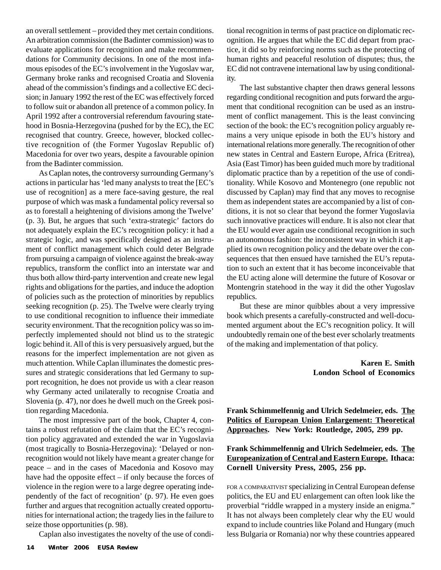an overall settlement – provided they met certain conditions. An arbitration commission (the Badinter commission) was to evaluate applications for recognition and make recommendations for Community decisions. In one of the most infamous episodes of the EC's involvement in the Yugoslav war, Germany broke ranks and recognised Croatia and Slovenia ahead of the commission's findings and a collective EC decision; in January 1992 the rest of the EC was effectively forced to follow suit or abandon all pretence of a common policy. In April 1992 after a controversial referendum favouring statehood in Bosnia-Herzegovina (pushed for by the EC), the EC recognised that country. Greece, however, blocked collective recognition of (the Former Yugoslav Republic of) Macedonia for over two years, despite a favourable opinion from the Badinter commission.

As Caplan notes, the controversy surrounding Germany's actions in particular has 'led many analysts to treat the [EC's use of recognition] as a mere face-saving gesture, the real purpose of which was mask a fundamental policy reversal so as to forestall a heightening of divisions among the Twelve' (p. 3). But, he argues that such 'extra-strategic' factors do not adequately explain the EC's recognition policy: it had a strategic logic, and was specifically designed as an instrument of conflict management which could deter Belgrade from pursuing a campaign of violence against the break-away republics, transform the conflict into an interstate war and thus both allow third-party intervention and create new legal rights and obligations for the parties, and induce the adoption of policies such as the protection of minorities by republics seeking recognition (p. 25). The Twelve were clearly trying to use conditional recognition to influence their immediate security environment. That the recognition policy was so imperfectly implemented should not blind us to the strategic logic behind it. All of this is very persuasively argued, but the reasons for the imperfect implementation are not given as much attention. While Caplan illuminates the domestic pressures and strategic considerations that led Germany to support recognition, he does not provide us with a clear reason why Germany acted unilaterally to recognise Croatia and Slovenia (p. 47), nor does he dwell much on the Greek position regarding Macedonia.

The most impressive part of the book, Chapter 4, contains a robust refutation of the claim that the EC's recognition policy aggravated and extended the war in Yugoslavia (most tragically to Bosnia-Herzegovina): 'Delayed or nonrecognition would not likely have meant a greater change for peace – and in the cases of Macedonia and Kosovo may have had the opposite effect – if only because the forces of violence in the region were to a large degree operating independently of the fact of recognition' (p. 97). He even goes further and argues that recognition actually created opportunities for international action; the tragedy lies in the failure to seize those opportunities (p. 98).

Caplan also investigates the novelty of the use of condi-

tional recognition in terms of past practice on diplomatic recognition. He argues that while the EC did depart from practice, it did so by reinforcing norms such as the protecting of human rights and peaceful resolution of disputes; thus, the EC did not contravene international law by using conditionality.

The last substantive chapter then draws general lessons regarding conditional recognition and puts forward the argument that conditional recognition can be used as an instrument of conflict management. This is the least convincing section of the book: the EC's recognition policy arguably remains a very unique episode in both the EU's history and international relations more generally. The recognition of other new states in Central and Eastern Europe, Africa (Eritrea), Asia (East Timor) has been guided much more by traditional diplomatic practice than by a repetition of the use of conditionality. While Kosovo and Montenegro (one republic not discussed by Caplan) may find that any moves to recognise them as independent states are accompanied by a list of conditions, it is not so clear that beyond the former Yugoslavia such innovative practices will endure. It is also not clear that the EU would ever again use conditional recognition in such an autonomous fashion: the inconsistent way in which it applied its own recognition policy and the debate over the consequences that then ensued have tarnished the EU's reputation to such an extent that it has become inconceivable that the EU acting alone will determine the future of Kosovar or Montengrin statehood in the way it did the other Yugoslav republics.

But these are minor quibbles about a very impressive book which presents a carefully-constructed and well-documented argument about the EC's recognition policy. It will undoubtedly remain one of the best ever scholarly treatments of the making and implementation of that policy.

> **Karen E. Smith London School of Economics**

**Frank Schimmelfennig and Ulrich Sedelmeier, eds. The Politics of European Union Enlargement: Theoretical Approaches. New York: Routledge, 2005, 299 pp.**

#### **Frank Schimmelfennig and Ulrich Sedelmeier, eds. The Europeanization of Central and Eastern Europe. Ithaca: Cornell University Press, 2005, 256 pp.**

FOR <sup>A</sup> COMPARATIVIST specializing in Central European defense politics, the EU and EU enlargement can often look like the proverbial "riddle wrapped in a mystery inside an enigma." It has not always been completely clear why the EU would expand to include countries like Poland and Hungary (much less Bulgaria or Romania) nor why these countries appeared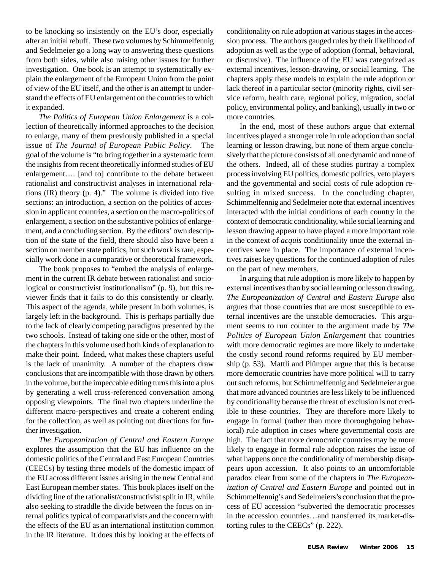to be knocking so insistently on the EU's door, especially after an initial rebuff. These two volumes by Schimmelfennig and Sedelmeier go a long way to answering these questions from both sides, while also raising other issues for further investigation. One book is an attempt to systematically explain the enlargement of the European Union from the point of view of the EU itself, and the other is an attempt to understand the effects of EU enlargement on the countries to which it expanded.

*The Politics of European Union Enlargement* is a collection of theoretically informed approaches to the decision to enlarge, many of them previously published in a special issue of *The Journal of European Public Policy*. The goal of the volume is "to bring together in a systematic form the insights from recent theoretically informed studies of EU enlargement…. [and to] contribute to the debate between rationalist and constructivist analyses in international relations (IR) theory (p. 4)." The volume is divided into five sections: an introduction, a section on the politics of accession in applicant countries, a section on the macro-politics of enlargement, a section on the substantive politics of enlargement, and a concluding section. By the editors' own description of the state of the field, there should also have been a section on member state politics, but such work is rare, especially work done in a comparative or theoretical framework.

The book proposes to "embed the analysis of enlargement in the current IR debate between rationalist and sociological or constructivist institutionalism" (p. 9), but this reviewer finds that it fails to do this consistently or clearly. This aspect of the agenda, while present in both volumes, is largely left in the background. This is perhaps partially due to the lack of clearly competing paradigms presented by the two schools. Instead of taking one side or the other, most of the chapters in this volume used both kinds of explanation to make their point. Indeed, what makes these chapters useful is the lack of unanimity. A number of the chapters draw conclusions that are incompatible with those drawn by others in the volume, but the impeccable editing turns this into a plus by generating a well cross-referenced conversation among opposing viewpoints. The final two chapters underline the different macro-perspectives and create a coherent ending for the collection, as well as pointing out directions for further investigation.

*The Europeanization of Central and Eastern Europe* explores the assumption that the EU has influence on the domestic politics of the Central and East European Countries (CEECs) by testing three models of the domestic impact of the EU across different issues arising in the new Central and East European member states. This book places itself on the dividing line of the rationalist/constructivist split in IR, while also seeking to straddle the divide between the focus on internal politics typical of comparativists and the concern with the effects of the EU as an international institution common in the IR literature. It does this by looking at the effects of conditionality on rule adoption at various stages in the accession process. The authors gauged rules by their likelihood of adoption as well as the type of adoption (formal, behavioral, or discursive). The influence of the EU was categorized as external incentives, lesson-drawing, or social learning. The chapters apply these models to explain the rule adoption or lack thereof in a particular sector (minority rights, civil service reform, health care, regional policy, migration, social policy, environmental policy, and banking), usually in two or more countries.

In the end, most of these authors argue that external incentives played a stronger role in rule adoption than social learning or lesson drawing, but none of them argue conclusively that the picture consists of all one dynamic and none of the others. Indeed, all of these studies portray a complex process involving EU politics, domestic politics, veto players and the governmental and social costs of rule adoption resulting in mixed success. In the concluding chapter, Schimmelfennig and Sedelmeier note that external incentives interacted with the initial conditions of each country in the context of democratic conditionality, while social learning and lesson drawing appear to have played a more important role in the context of *acquis* conditionality once the external incentives were in place. The importance of external incentives raises key questions for the continued adoption of rules on the part of new members.

In arguing that rule adoption is more likely to happen by external incentives than by social learning or lesson drawing, *The Europeanization of Central and Eastern Europe* also argues that those countries that are most susceptible to external incentives are the unstable democracies. This argument seems to run counter to the argument made by *The Politics of European Union Enlargement* that countries with more democratic regimes are more likely to undertake the costly second round reforms required by EU membership (p. 53). Mattli and Plümper argue that this is because more democratic countries have more political will to carry out such reforms, but Schimmelfennig and Sedelmeier argue that more advanced countries are less likely to be influenced by conditionality because the threat of exclusion is not credible to these countries. They are therefore more likely to engage in formal (rather than more thoroughgoing behavioral) rule adoption in cases where governmental costs are high. The fact that more democratic countries may be more likely to engage in formal rule adoption raises the issue of what happens once the conditionality of membership disappears upon accession. It also points to an uncomfortable paradox clear from some of the chapters in *The Europeanization of Central and Eastern Europe* and pointed out in Schimmelfennig's and Sedelmeiers's conclusion that the process of EU accession "subverted the democratic processes in the accession countries…and transferred its market-distorting rules to the CEECs" (p. 222).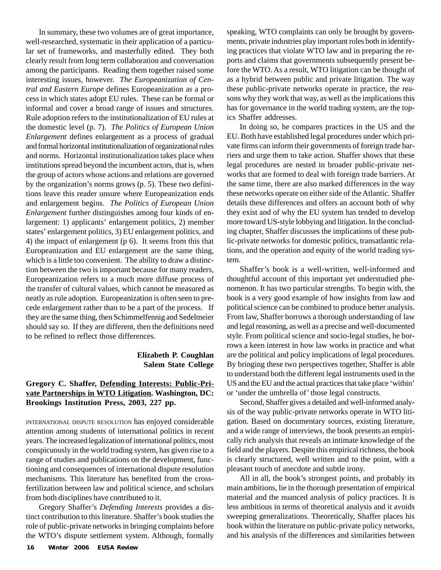In summary, these two volumes are of great importance, well-researched, systematic in their application of a particular set of frameworks, and masterfully edited. They both clearly result from long term collaboration and conversation among the participants. Reading them together raised some interesting issues, however. *The Europeanization of Central and Eastern Europe* defines Europeanization as a process in which states adopt EU rules. These can be formal or informal and cover a broad range of issues and structures. Rule adoption refers to the institutionalization of EU rules at the domestic level (p. 7). *The Politics of European Union Enlargement* defines enlargement as a process of gradual and formal horizontal institutionalization of organizational rules and norms. Horizontal institutionalization takes place when institutions spread beyond the incumbent actors, that is, when the group of actors whose actions and relations are governed by the organization's norms grows (p. 5). These two definitions leave this reader unsure where Europeanization ends and enlargement begins. *The Politics of European Union Enlargement* further distinguishes among four kinds of enlargement: 1) applicants' enlargement politics, 2) member states' enlargement politics, 3) EU enlargement politics, and 4) the impact of enlargement (p 6). It seems from this that Europeanization and EU enlargement are the same thing, which is a little too convenient. The ability to draw a distinction between the two is important because for many readers, Europeanization refers to a much more diffuse process of the transfer of cultural values, which cannot be measured as neatly as rule adoption. Europeanization is often seen to precede enlargement rather than to be a part of the process. If they are the same thing, then Schimmelfennig and Sedelmeier should say so. If they are different, then the definitions need to be refined to reflect those differences.

#### **Elizabeth P. Coughlan Salem State College**

#### **Gregory C. Shaffer, Defending Interests: Public-Private Partnerships in WTO Litigation. Washington, DC: Brookings Institution Press, 2003, 227 pp.**

INTERNATIONAL DISPUTE RESOLUTION has enjoyed considerable attention among students of international politics in recent years. The increased legalization of international politics, most conspicuously in the world trading system, has given rise to a range of studies and publications on the development, functioning and consequences of international dispute resolution mechanisms. This literature has benefited from the crossfertilization between law and political science, and scholars from both disciplines have contributed to it.

Gregory Shaffer's *Defending Interests* provides a distinct contribution to this literature. Shaffer's book studies the role of public-private networks in bringing complaints before the WTO's dispute settlement system. Although, formally speaking, WTO complaints can only be brought by governments, private industries play important roles both in identifying practices that violate WTO law and in preparing the reports and claims that governments subsequently present before the WTO. As a result, WTO litigation can be thought of as a hybrid between public and private litigation. The way these public-private networks operate in practice, the reasons why they work that way, as well as the implications this has for governance in the world trading system, are the topics Shaffer addresses.

In doing so, he compares practices in the US and the EU. Both have established legal procedures under which private firms can inform their governments of foreign trade barriers and urge them to take action. Shaffer shows that these legal procedures are nested in broader public-private networks that are formed to deal with foreign trade barriers. At the same time, there are also marked differences in the way these networks operate on either side of the Atlantic. Shaffer details these differences and offers an account both of why they exist and of why the EU system has tended to develop more toward US-style lobbying and litigation. In the concluding chapter, Shaffer discusses the implications of these public-private networks for domestic politics, transatlantic relations, and the operation and equity of the world trading system.

Shaffer's book is a well-written, well-informed and thoughtful account of this important yet understudied phenomenon. It has two particular strengths. To begin with, the book is a very good example of how insights from law and political science can be combined to produce better analysis. From law, Shaffer borrows a thorough understanding of law and legal reasoning, as well as a precise and well-documented style. From political science and socio-legal studies, he borrows a keen interest in how law works in practice and what are the political and policy implications of legal procedures. By bringing these two perspectives together, Shaffer is able to understand both the different legal instruments used in the US and the EU and the actual practices that take place 'within' or 'under the umbrella of' those legal constructs.

Second, Shaffer gives a detailed and well-informed analysis of the way public-private networks operate in WTO litigation. Based on documentary sources, existing literature, and a wide range of interviews, the book presents an empirically rich analysis that reveals an intimate knowledge of the field and the players. Despite this empirical richness, the book is clearly structured, well written and to the point, with a pleasant touch of anecdote and subtle irony.

All in all, the book's strongest points, and probably its main ambitions, lie in the thorough presentation of empirical material and the nuanced analysis of policy practices. It is less ambitious in terms of theoretical analysis and it avoids sweeping generalizations. Theoretically, Shaffer places his book within the literature on public-private policy networks, and his analysis of the differences and similarities between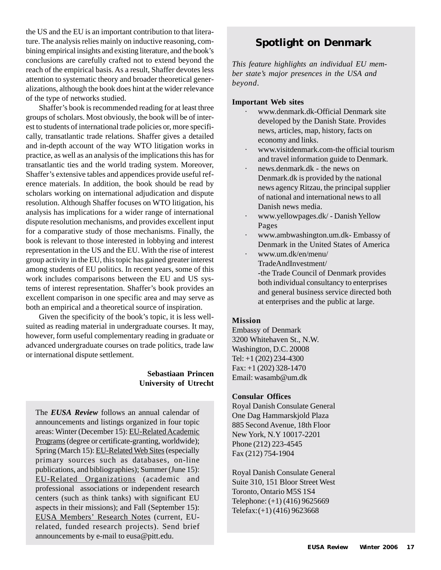the US and the EU is an important contribution to that literature. The analysis relies mainly on inductive reasoning, combining empirical insights and existing literature, and the book's conclusions are carefully crafted not to extend beyond the reach of the empirical basis. As a result, Shaffer devotes less attention to systematic theory and broader theoretical generalizations, although the book does hint at the wider relevance of the type of networks studied.

Shaffer's book is recommended reading for at least three groups of scholars. Most obviously, the book will be of interest to students of international trade policies or, more specifically, transatlantic trade relations. Shaffer gives a detailed and in-depth account of the way WTO litigation works in practice, as well as an analysis of the implications this has for transatlantic ties and the world trading system. Moreover, Shaffer's extensive tables and appendices provide useful reference materials. In addition, the book should be read by scholars working on international adjudication and dispute resolution. Although Shaffer focuses on WTO litigation, his analysis has implications for a wider range of international dispute resolution mechanisms, and provides excellent input for a comparative study of those mechanisms. Finally, the book is relevant to those interested in lobbying and interest representation in the US and the EU. With the rise of interest group activity in the EU, this topic has gained greater interest among students of EU politics. In recent years, some of this work includes comparisons between the EU and US systems of interest representation. Shaffer's book provides an excellent comparison in one specific area and may serve as both an empirical and a theoretical source of inspiration.

Given the specificity of the book's topic, it is less wellsuited as reading material in undergraduate courses. It may, however, form useful complementary reading in graduate or advanced undergraduate courses on trade politics, trade law or international dispute settlement.

### **Sebastiaan Princen University of Utrecht**

The *EUSA Review* follows an annual calendar of announcements and listings organized in four topic areas: Winter (December 15): EU-Related Academic Programs (degree or certificate-granting, worldwide); Spring (March 15): EU-Related Web Sites (especially primary sources such as databases, on-line publications, and bibliographies); Summer (June 15): EU-Related Organizations (academic and professional associations or independent research centers (such as think tanks) with significant EU aspects in their missions); and Fall (September 15): EUSA Members' Research Notes (current, EUrelated, funded research projects). Send brief announcements by e-mail to eusa@pitt.edu.

# **Spotlight on Denmark**

*This feature highlights an individual EU member state's major presences in the USA and beyond*.

#### **Important Web sites**

- · www.denmark.dk-Official Denmark site developed by the Danish State. Provides news, articles, map, history, facts on economy and links.
- · www.visitdenmark.com-the official tourism and travel information guide to Denmark.
- · news.denmark.dk the news on Denmark.dk is provided by the national news agency Ritzau, the principal supplier of national and international news to all Danish news media.
- · www.yellowpages.dk/ Danish Yellow Pages
- · www.ambwashington.um.dk- Embassy of Denmark in the United States of America
- · www.um.dk/en/menu/ TradeAndInvestment/ -the Trade Council of Denmark provides both individual consultancy to enterprises and general business service directed both at enterprises and the public at large.

#### **Mission**

Embassy of Denmark 3200 Whitehaven St., N.W. Washington, D.C. 20008 Tel: +1 (202) 234-4300 Fax: +1 (202) 328-1470 Email: wasamb@um.dk

#### **Consular Offices**

Royal Danish Consulate General One Dag Hammarskjold Plaza 885 Second Avenue, 18th Floor New York, N.Y 10017-2201 Phone (212) 223-4545 Fax (212) 754-1904

Royal Danish Consulate General Suite 310, 151 Bloor Street West Toronto, Ontario M5S 1S4 Telephone: (+1) (416) 9625669 Telefax:(+1) (416) 9623668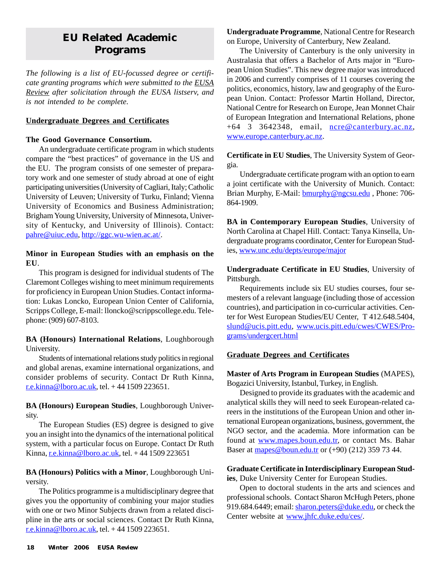# **EU Related Academic Programs**

*The following is a list of EU-focussed degree or certificate granting programs which were submitted to the EUSA Review after solicitation through the EUSA listserv, and is not intended to be complete.*

#### **Undergraduate Degrees and Certificates**

#### **The Good Governance Consortium.**

An undergraduate certificate program in which students compare the "best practices" of governance in the US and the EU. The program consists of one semester of preparatory work and one semester of study abroad at one of eight participating universities (University of Cagliari, Italy; Catholic University of Leuven; University of Turku, Finland; Vienna University of Economics and Business Administration; Brigham Young University, University of Minnesota, University of Kentucky, and University of Illinois). Contact: pahre@uiuc.edu, http://ggc.wu-wien.ac.at/.

#### **Minor in European Studies with an emphasis on the EU**.

This program is designed for individual students of The Claremont Colleges wishing to meet minimum requirements for proficiency in European Union Studies. Contact information: Lukas Loncko, European Union Center of California, Scripps College, E-mail: lloncko@scrippscollege.edu. Telephone: (909) 607-8103.

**BA (Honours) International Relations**, Loughborough University.

Students of international relations study politics in regional and global arenas, examine international organizations, and consider problems of security. Contact Dr Ruth Kinna, r.e.kinna@lboro.ac.uk, tel. + 44 1509 223651.

### **BA (Honours) European Studies**, Loughborough University.

The European Studies (ES) degree is designed to give you an insight into the dynamics of the international political system, with a particular focus on Europe. Contact Dr Ruth Kinna, r.e.kinna@lboro.ac.uk, tel.  $+44$  1509 223651

### **BA (Honours) Politics with a Minor**, Loughborough University.

The Politics programme is a multidisciplinary degree that gives you the opportunity of combining your major studies with one or two Minor Subjects drawn from a related discipline in the arts or social sciences. Contact Dr Ruth Kinna, r.e.kinna@lboro.ac.uk, tel.  $+44$  1509 223651.

**Undergraduate Programme**, National Centre for Research on Europe, University of Canterbury, New Zealand.

The University of Canterbury is the only university in Australasia that offers a Bachelor of Arts major in "European Union Studies". This new degree major was introduced in 2006 and currently comprises of 11 courses covering the politics, economics, history, law and geography of the European Union. Contact: Professor Martin Holland, Director, National Centre for Research on Europe, Jean Monnet Chair of European Integration and International Relations, phone +64 3 3642348, email, ncre@canterbury.ac.nz, www.europe.canterbury.ac.nz.

#### **Certificate in EU Studies**, The University System of Georgia.

Undergraduate certificate program with an option to earn a joint certificate with the University of Munich. Contact: Brian Murphy, E-Mail: **bmurphy@ngcsu.edu**, Phone: 706-864-1909.

**BA in Contemporary European Studies**, University of North Carolina at Chapel Hill. Contact: Tanya Kinsella, Undergraduate programs coordinator, Center for European Studies, www.unc.edu/depts/europe/major

**Undergraduate Certificate in EU Studies**, University of Pittsburgh.

Requirements include six EU studies courses, four semesters of a relevant language (including those of accession countries), and participation in co-curricular activities. Center for West European Studies/EU Center, T 412.648.5404, slund@ucis.pitt.edu, www.ucis.pitt.edu/cwes/CWES/Programs/undergcert.html

### **Graduate Degrees and Certificates**

#### **Master of Arts Program in European Studies** (MAPES), Bogazici University, Istanbul, Turkey, in English.

Designed to provide its graduates with the academic and analytical skills they will need to seek European-related careers in the institutions of the European Union and other international European organizations, business, government, the NGO sector, and the academia. More information can be found at www.mapes.boun.edu.tr, or contact Ms. Bahar Baser at mapes@boun.edu.tr or (+90) (212) 359 73 44.

#### **Graduate Certificate in Interdisciplinary European Studies**, Duke University Center for European Studies.

Open to doctoral students in the arts and sciences and professional schools. Contact Sharon McHugh Peters, phone 919.684.6449; email: sharon.peters@duke.edu, or check the Center website at www.jhfc.duke.edu/ces/.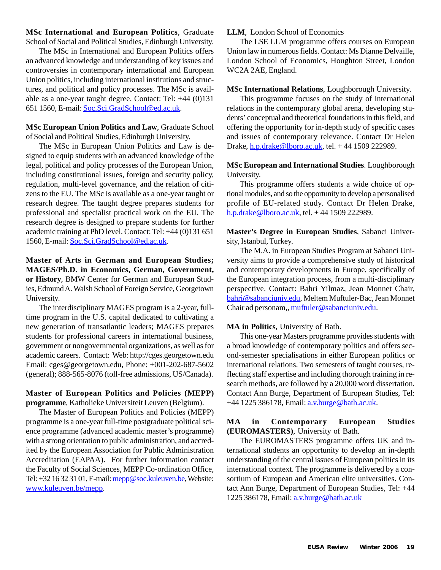**MSc International and European Politics**, Graduate School of Social and Political Studies, Edinburgh University.

The MSc in International and European Politics offers an advanced knowledge and understanding of key issues and controversies in contemporary international and European Union politics, including international institutions and structures, and political and policy processes. The MSc is available as a one-year taught degree. Contact: Tel: +44 (0)131 651 1560, E-mail: Soc.Sci.GradSchool@ed.ac.uk.

#### **MSc European Union Politics and Law**, Graduate School of Social and Political Studies, Edinburgh University.

The MSc in European Union Politics and Law is designed to equip students with an advanced knowledge of the legal, political and policy processes of the European Union, including constitutional issues, foreign and security policy, regulation, multi-level governance, and the relation of citizens to the EU. The MSc is available as a one-year taught or research degree. The taught degree prepares students for professional and specialist practical work on the EU. The research degree is designed to prepare students for further academic training at PhD level. Contact: Tel: +44 (0)131 651 1560, E-mail: Soc.Sci.GradSchool@ed.ac.uk.

**Master of Arts in German and European Studies; MAGES/Ph.D. in Economics, German, Government, or History**, BMW Center for German and European Studies, Edmund A. Walsh School of Foreign Service, Georgetown University.

The interdisciplinary MAGES program is a 2-year, fulltime program in the U.S. capital dedicated to cultivating a new generation of transatlantic leaders; MAGES prepares students for professional careers in international business, government or nongovernmental organizations, as well as for academic careers. Contact: Web: http://cges.georgetown.edu Email: cges@georgetown.edu, Phone: +001-202-687-5602 (general); 888-565-8076 (toll-free admissions, US/Canada).

#### **Master of European Politics and Policies (MEPP) programme**, Katholieke Universiteit Leuven (Belgium).

The Master of European Politics and Policies (MEPP) programme is a one-year full-time postgraduate political science programme (advanced academic master's programme) with a strong orientation to public administration, and accredited by the European Association for Public Administration Accreditation (EAPAA). For further information contact the Faculty of Social Sciences, MEPP Co-ordination Office, Tel: +32 16 32 31 01, E-mail: mepp@soc.kuleuven.be, Website: www.kuleuven.be/mepp.

#### **LLM**, London School of Economics

The LSE LLM programme offers courses on European Union law in numerous fields. Contact: Ms Dianne Delvaille, London School of Economics, Houghton Street, London WC2A 2AE, England.

#### **MSc International Relations**, Loughborough University.

This programme focuses on the study of international relations in the contemporary global arena, developing students' conceptual and theoretical foundations in this field, and offering the opportunity for in-depth study of specific cases and issues of contemporary relevance. Contact Dr Helen Drake, h.p.drake@lboro.ac.uk, tel. + 44 1509 222989.

#### **MSc European and International Studies**. Loughborough University.

This programme offers students a wide choice of optional modules, and so the opportunity to develop a personalised profile of EU-related study. Contact Dr Helen Drake, h.p.drake@lboro.ac.uk, tel. + 44 1509 222989.

**Master's Degree in European Studies**, Sabanci University, Istanbul, Turkey.

The M.A. in European Studies Program at Sabanci University aims to provide a comprehensive study of historical and contemporary developments in Europe, specifically of the European integration process, from a multi-disciplinary perspective. Contact: Bahri Yilmaz, Jean Monnet Chair, bahri@sabanciuniv.edu, Meltem Muftuler-Bac, Jean Monnet Chair ad personam,, muftuler@sabanciuniv.edu.

#### **MA in Politics**, University of Bath.

This one-year Masters programme provides students with a broad knowledge of contemporary politics and offers second-semester specialisations in either European politics or international relations. Two semesters of taught courses, reflecting staff expertise and including thorough training in research methods, are followed by a 20,000 word dissertation. Contact Ann Burge, Department of European Studies, Tel: +44 1225 386178, Email: a.v.burge@bath.ac.uk.

#### **MA in Contemporary European Studies (EUROMASTERS)**, University of Bath.

The EUROMASTERS programme offers UK and international students an opportunity to develop an in-depth understanding of the central issues of European politics in its international context. The programme is delivered by a consortium of European and American elite universities. Contact Ann Burge, Department of European Studies, Tel: +44 1225 386178, Email: a.v.burge@bath.ac.uk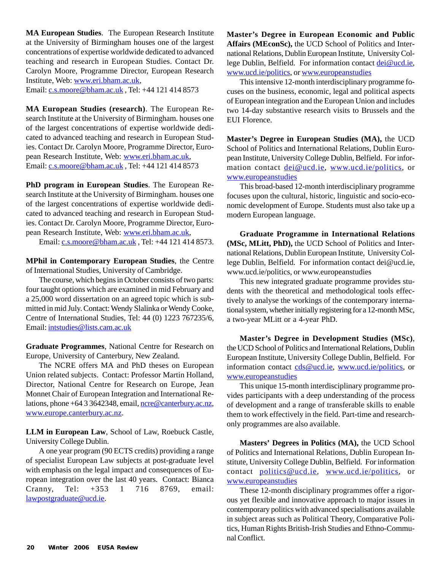**MA European Studies**. The European Research Institute at the University of Birmingham houses one of the largest concentrations of expertise worldwide dedicated to advanced teaching and research in European Studies. Contact Dr. Carolyn Moore, Programme Director, European Research Institute, Web: www.eri.bham.ac.uk,

Email: c.s.moore@bham.ac.uk , Tel: +44 121 414 8573

**MA European Studies (research)**. The European Research Institute at the University of Birmingham. houses one of the largest concentrations of expertise worldwide dedicated to advanced teaching and research in European Studies. Contact Dr. Carolyn Moore, Programme Director, European Research Institute, Web: www.eri.bham.ac.uk, Email: c.s.moore@bham.ac.uk, Tel: +44 121 414 8573

**PhD program in European Studies**. The European Research Institute at the University of Birmingham. houses one of the largest concentrations of expertise worldwide dedicated to advanced teaching and research in European Studies. Contact Dr. Carolyn Moore, Programme Director, European Research Institute, Web: www.eri.bham.ac.uk,

Email: c.s.moore@bham.ac.uk , Tel: +44 121 414 8573.

**MPhil in Contemporary European Studies**, the Centre of International Studies, University of Cambridge.

The course, which begins in October consists of two parts: four taught options which are examined in mid February and a 25,000 word dissertation on an agreed topic which is submitted in mid July. Contact: Wendy Slalinka or Wendy Cooke, Centre of International Studies, Tel: 44 (0) 1223 767235/6, Email: intstudies@lists.cam.ac.uk

**Graduate Programmes**, National Centre for Research on Europe, University of Canterbury, New Zealand.

The NCRE offers MA and PhD theses on European Union related subjects. Contact: Professor Martin Holland, Director, National Centre for Research on Europe, Jean Monnet Chair of European Integration and International Relations, phone +64 3 3642348, email, ncre@canterbury.ac.nz, www.europe.canterbury.ac.nz.

**LLM in European Law**, School of Law, Roebuck Castle, University College Dublin.

A one year program (90 ECTS credits) providing a range of specialist European Law subjects at post-graduate level with emphasis on the legal impact and consequences of European integration over the last 40 years. Contact: Bianca Cranny, Tel: +353 1 716 8769, email: lawpostgraduate@ucd.ie.

**Master's Degree in European Economic and Public Affairs (MEconSc),** the UCD School of Politics and International Relations, Dublin European Institute, University College Dublin, Belfield. For information contact dei@ucd.ie, www.ucd.ie/politics, or www.europeanstudies

This intensive 12-month interdisciplinary programme focuses on the business, economic, legal and political aspects of European integration and the European Union and includes two 14-day substantive research visits to Brussels and the EUI Florence.

**Master's Degree in European Studies (MA),** the UCD School of Politics and International Relations, Dublin European Institute, University College Dublin, Belfield. For information contact dei@ucd.ie, www.ucd.ie/politics, or www.europeanstudies

This broad-based 12-month interdisciplinary programme focuses upon the cultural, historic, linguistic and socio-economic development of Europe. Students must also take up a modern European language.

**Graduate Programme in International Relations (MSc, MLitt, PhD),** the UCD School of Politics and International Relations, Dublin European Institute, University College Dublin, Belfield. For information contact dei@ucd.ie, www.ucd.ie/politics, or www.europeanstudies

This new integrated graduate programme provides students with the theoretical and methodological tools effectively to analyse the workings of the contemporary international system, whether initially registering for a 12-month MSc, a two-year MLitt or a 4-year PhD.

**Master's Degree in Development Studies (MSc)**, the UCD School of Politics and International Relations, Dublin European Institute, University College Dublin, Belfield. For information contact cds@ucd.ie, www.ucd.ie/politics, or www.europeanstudies

This unique 15-month interdisciplinary programme provides participants with a deep understanding of the process of development and a range of transferable skills to enable them to work effectively in the field. Part-time and researchonly programmes are also available.

**Masters' Degrees in Politics (MA),** the UCD School of Politics and International Relations, Dublin European Institute, University College Dublin, Belfield. For information contact politics@ucd.ie, www.ucd.ie/politics, or www.europeanstudies

These 12-month disciplinary programmes offer a rigorous yet flexible and innovative approach to major issues in contemporary politics with advanced specialisations available in subject areas such as Political Theory, Comparative Politics, Human Rights British-Irish Studies and Ethno-Communal Conflict.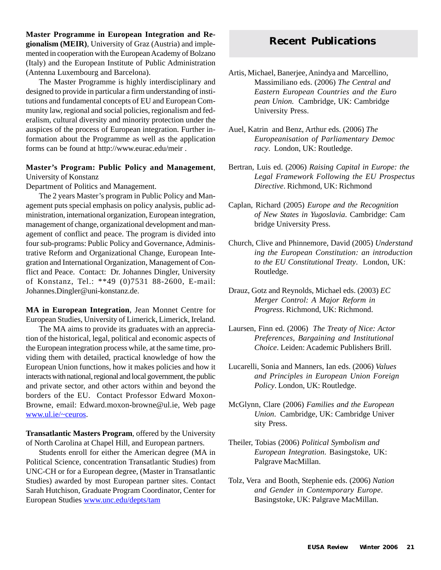**Master Programme in European Integration and Regionalism (MEIR)**, University of Graz (Austria) and implemented in cooperation with the European Academy of Bolzano (Italy) and the European Institute of Public Administration (Antenna Luxembourg and Barcelona).

The Master Programme is highly interdisciplinary and designed to provide in particular a firm understanding of institutions and fundamental concepts of EU and European Community law, regional and social policies, regionalism and federalism, cultural diversity and minority protection under the auspices of the process of European integration. Further information about the Programme as well as the application forms can be found at http://www.eurac.edu/meir .

#### **Master's Program: Public Policy and Management**, University of Konstanz

Department of Politics and Management.

The 2 years Master's program in Public Policy and Management puts special emphasis on policy analysis, public administration, international organization, European integration, management of change, organizational development and management of conflict and peace. The program is divided into four sub-programs: Public Policy and Governance, Administrative Reform and Organizational Change, European Integration and International Organization, Management of Conflict and Peace. Contact: Dr. Johannes Dingler, University of Konstanz, Tel.: \*\*49 (0)7531 88-2600, E-mail: Johannes.Dingler@uni-konstanz.de.

**MA in European Integration**, Jean Monnet Centre for European Studies, University of Limerick, Limerick, Ireland.

The MA aims to provide its graduates with an appreciation of the historical, legal, political and economic aspects of the European integration process while, at the same time, providing them with detailed, practical knowledge of how the European Union functions, how it makes policies and how it interacts with national, regional and local government, the public and private sector, and other actors within and beyond the borders of the EU. Contact Professor Edward Moxon-Browne, email: Edward.moxon-browne@ul.ie, Web page www.ul.ie/~ceuros.

**Transatlantic Masters Program**, offered by the University of North Carolina at Chapel Hill, and European partners.

Students enroll for either the American degree (MA in Political Science, concentration Transatlantic Studies) from UNC-CH or for a European degree, (Master in Transatlantic Studies) awarded by most European partner sites. Contact Sarah Hutchison, Graduate Program Coordinator, Center for European Studies www.unc.edu/depts/tam

# **Recent Publications**

- Artis, Michael, Banerjee, Anindya and Marcellino, Massimiliano eds. (2006) *The Central and Eastern European Countries and the Euro pean Union*. Cambridge, UK: Cambridge University Press.
- Auel, Katrin and Benz, Arthur eds. (2006) *The Europeanisation of Parliamentary Democ racy*. London, UK: Routledge.
- Bertran, Luis ed. (2006) *Raising Capital in Europe: the Legal Framework Following the EU Prospectus Directive*. Richmond, UK: Richmond
- Caplan, Richard (2005) *Europe and the Recognition of New States in Yugoslavia*. Cambridge: Cam bridge University Press.
- Church, Clive and Phinnemore, David (2005) *Understand ing the European Constitution: an introduction to the EU Constitutional Treaty*. London, UK: Routledge.
- Drauz, Gotz and Reynolds, Michael eds. (2003) *EC Merger Control: A Major Reform in Progress*. Richmond, UK: Richmond.
- Laursen, Finn ed. (2006) *The Treaty of Nice: Actor Preferences, Bargaining and Institutional Choice*. Leiden: Academic Publishers Brill.
- Lucarelli, Sonia and Manners, Ian eds. (2006) *Values and Principles in European Union Foreign Policy*. London, UK: Routledge.
- McGlynn, Clare (2006) *Families and the European Union*. Cambridge, UK: Cambridge Univer sity Press.
- Theiler, Tobias (2006) *Political Symbolism and European Integration*. Basingstoke, UK: Palgrave MacMillan.
- Tolz, Vera and Booth, Stephenie eds. (2006) *Nation and Gender in Contemporary Europe*. Basingstoke, UK: Palgrave MacMillan.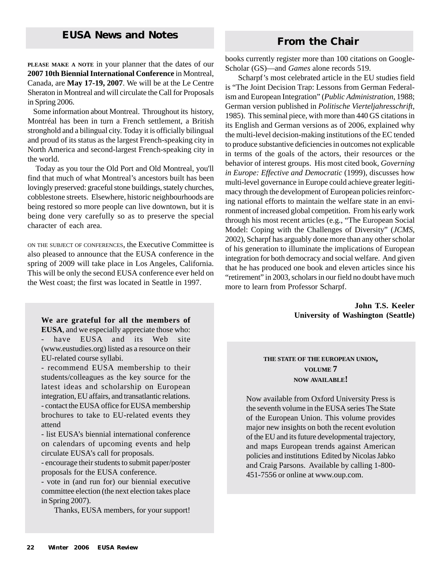# **From the Chair**

**PLEASE MAKE A NOTE** in your planner that the dates of our **2007 10th Biennial International Conference** in Montreal, Canada, are **May 17-19, 2007**. We will be at the Le Centre Sheraton in Montreal and will circulate the Call for Proposals in Spring 2006.

 Some information about Montreal. Throughout its history, Montréal has been in turn a French settlement, a British stronghold and a bilingual city. Today it is officially bilingual and proud of its status as the largest French-speaking city in North America and second-largest French-speaking city in the world.

 Today as you tour the Old Port and Old Montreal, you'll find that much of what Montreal's ancestors built has been lovingly preserved: graceful stone buildings, stately churches, cobblestone streets. Elsewhere, historic neighbourhoods are being restored so more people can live downtown, but it is being done very carefully so as to preserve the special character of each area.

ON THE SUBJECT OF CONFERENCES, the Executive Committee is also pleased to announce that the EUSA conference in the spring of 2009 will take place in Los Angeles, California. This will be only the second EUSA conference ever held on the West coast; the first was located in Seattle in 1997.

# **We are grateful for all the members of**

**EUSA**, and we especially appreciate those who: - have EUSA and its Web site (www.eustudies.org) listed as a resource on their EU-related course syllabi.

- recommend EUSA membership to their students/colleagues as the key source for the latest ideas and scholarship on European integration, EU affairs, and transatlantic relations. - contact the EUSA office for EUSA membership brochures to take to EU-related events they attend

- list EUSA's biennial international conference on calendars of upcoming events and help circulate EUSA's call for proposals.

- encourage their students to submit paper/poster proposals for the EUSA conference.

- vote in (and run for) our biennial executive committee election (the next election takes place in Spring 2007).

Thanks, EUSA members, for your support!

books currently register more than 100 citations on Google-Scholar (GS)—and *Games* alone records 519.

Scharpf's most celebrated article in the EU studies field is "The Joint Decision Trap: Lessons from German Federalism and European Integration" (*Public Administration*, 1988; German version published in *Politische Vierteljahresschrift*, 1985). This seminal piece, with more than 440 GS citations in its English and German versions as of 2006, explained why the multi-level decision-making institutions of the EC tended to produce substantive deficiencies in outcomes not explicable in terms of the goals of the actors, their resources or the behavior of interest groups. His most cited book, *Governing in Europe: Effective and Democratic* (1999), discusses how multi-level governance in Europe could achieve greater legitimacy through the development of European policies reinforcing national efforts to maintain the welfare state in an environment of increased global competition. From his early work through his most recent articles (e.g., "The European Social Model: Coping with the Challenges of Diversity" (*JCMS*, 2002), Scharpf has arguably done more than any other scholar of his generation to illuminate the implications of European integration for both democracy and social welfare. And given that he has produced one book and eleven articles since his "retirement" in 2003, scholars in our field no doubt have much more to learn from Professor Scharpf.

> **John T.S. Keeler University of Washington (Seattle)**

### **THE STATE OF THE EUROPEAN UNION, VOLUME 7 NOW AVAILABLE!**

Now available from Oxford University Press is the seventh volume in the EUSA series The State of the European Union. This volume provides major new insights on both the recent evolution of the EU and its future developmental trajectory, and maps European trends against American policies and institutions Edited by Nicolas Jabko and Craig Parsons. Available by calling 1-800- 451-7556 or online at www.oup.com.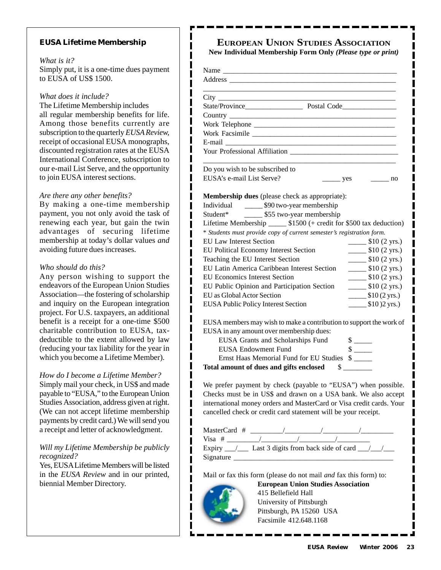#### **EUSA Lifetime Membership**

#### *What is it?*

Simply put, it is a one-time dues payment to EUSA of US\$ 1500.

ı

*What does it include?*

The Lifetime Membership includes all regular membership benefits for life. Among those benefits currently are subscription to the quarterly *EUSA Review,* receipt of occasional EUSA monographs, discounted registration rates at the EUSA International Conference, subscription to our e-mail List Serve, and the opportunity to join EUSA interest sections.

#### *Are there any other benefits?*

By making a one-time membership payment, you not only avoid the task of renewing each year, but gain the twin advantages of securing lifetime membership at today's dollar values *and* avoiding future dues increases.

#### *Who should do this?*

Any person wishing to support the endeavors of the European Union Studies Association—the fostering of scholarship and inquiry on the European integration project. For U.S. taxpayers, an additional benefit is a receipt for a one-time \$500 charitable contribution to EUSA, taxdeductible to the extent allowed by law (reducing your tax liability for the year in which you become a Lifetime Member).

#### *How do I become a Lifetime Member?*

Simply mail your check, in US\$ and made payable to "EUSA," to the European Union Studies Association, address given at right. (We can not accept lifetime membership payments by credit card.) We will send you a receipt and letter of acknowledgment.

#### *Will my Lifetime Membership be publicly recognized?*

Yes, EUSA Lifetime Members will be listed in the *EUSA Review* and in our printed, biennial Member Directory.

# **EUROPEAN UNION STUDIES ASSOCIATION**

**New Individual Membership Form Only** *(Please type or print)*

| $City$ <sub>___</sub>                                                                                                                                                                                                                                                                                                                                                                                           |                                                             |
|-----------------------------------------------------------------------------------------------------------------------------------------------------------------------------------------------------------------------------------------------------------------------------------------------------------------------------------------------------------------------------------------------------------------|-------------------------------------------------------------|
| State/Province Postal Code                                                                                                                                                                                                                                                                                                                                                                                      |                                                             |
|                                                                                                                                                                                                                                                                                                                                                                                                                 |                                                             |
|                                                                                                                                                                                                                                                                                                                                                                                                                 |                                                             |
|                                                                                                                                                                                                                                                                                                                                                                                                                 |                                                             |
|                                                                                                                                                                                                                                                                                                                                                                                                                 |                                                             |
| <b>Your Professional Affiliation</b>                                                                                                                                                                                                                                                                                                                                                                            |                                                             |
| Do you wish to be subscribed to                                                                                                                                                                                                                                                                                                                                                                                 |                                                             |
| EUSA's e-mail List Serve?                                                                                                                                                                                                                                                                                                                                                                                       | $\frac{\ }{2}$ yes<br>no                                    |
|                                                                                                                                                                                                                                                                                                                                                                                                                 |                                                             |
| Membership dues (please check as appropriate):                                                                                                                                                                                                                                                                                                                                                                  |                                                             |
| Individual ________ \$90 two-year membership                                                                                                                                                                                                                                                                                                                                                                    |                                                             |
| Student* ________ \$55 two-year membership                                                                                                                                                                                                                                                                                                                                                                      |                                                             |
| Lifetime Membership _______ \$1500 (+ credit for \$500 tax deduction)                                                                                                                                                                                                                                                                                                                                           |                                                             |
| * Students must provide copy of current semester's registration form.                                                                                                                                                                                                                                                                                                                                           |                                                             |
| <b>EU Law Interest Section</b>                                                                                                                                                                                                                                                                                                                                                                                  | $\frac{\text{I}}{\text{I}}$ \$10 (2 yrs.)                   |
| EU Political Economy Interest Section                                                                                                                                                                                                                                                                                                                                                                           | $\frac{\text{I}}{\text{I}}(2 \text{ yrs.})$                 |
| Teaching the EU Interest Section                                                                                                                                                                                                                                                                                                                                                                                | \$10 (2 yrs.)                                               |
| EU Latin America Caribbean Interest Section                                                                                                                                                                                                                                                                                                                                                                     | $\frac{\text{I}}{\text{I}}$ \$10 (2 yrs.)                   |
| <b>EU Economics Interest Section</b>                                                                                                                                                                                                                                                                                                                                                                            | $\frac{\text{I}}{\text{I}}$ \$10 (2 yrs.)                   |
| EU Public Opinion and Participation Section                                                                                                                                                                                                                                                                                                                                                                     | $\frac{\text{I}}{\text{I}}(2 \text{ yrs.})$                 |
| EU as Global Actor Section                                                                                                                                                                                                                                                                                                                                                                                      | $\frac{\text{I}(2 \text{ yrs.})}{\text{I}(2 \text{ yrs.})}$ |
| <b>EUSA Public Policy Interest Section</b>                                                                                                                                                                                                                                                                                                                                                                      | $$10)2$ yrs.)                                               |
|                                                                                                                                                                                                                                                                                                                                                                                                                 |                                                             |
| EUSA members may wish to make a contribution to support the work of                                                                                                                                                                                                                                                                                                                                             |                                                             |
| EUSA in any amount over membership dues:                                                                                                                                                                                                                                                                                                                                                                        |                                                             |
| EUSA Grants and Scholarships Fund                                                                                                                                                                                                                                                                                                                                                                               |                                                             |
| <b>EUSA Endowment Fund</b>                                                                                                                                                                                                                                                                                                                                                                                      | $\frac{\sqrt{2}}{2}$                                        |
| Ernst Haas Memorial Fund for EU Studies \$                                                                                                                                                                                                                                                                                                                                                                      |                                                             |
| Total amount of dues and gifts enclosed \$                                                                                                                                                                                                                                                                                                                                                                      |                                                             |
|                                                                                                                                                                                                                                                                                                                                                                                                                 |                                                             |
| We prefer payment by check (payable to "EUSA") when possible.                                                                                                                                                                                                                                                                                                                                                   |                                                             |
| Checks must be in US\$ and drawn on a USA bank. We also accept                                                                                                                                                                                                                                                                                                                                                  |                                                             |
| international money orders and MasterCard or Visa credit cards. Your                                                                                                                                                                                                                                                                                                                                            |                                                             |
| cancelled check or credit card statement will be your receipt.                                                                                                                                                                                                                                                                                                                                                  |                                                             |
|                                                                                                                                                                                                                                                                                                                                                                                                                 |                                                             |
|                                                                                                                                                                                                                                                                                                                                                                                                                 |                                                             |
| Visa # $\frac{1}{\sqrt{1-\frac{1}{1-\frac{1}{1-\frac{1}{1-\frac{1}{1-\frac{1}{1-\frac{1}{1-\frac{1}{1-\frac{1}{1-\frac{1}{1-\frac{1}{1-\frac{1}{1-\frac{1}{1-\frac{1}{1-\frac{1}{1-\frac{1}{1-\frac{1}{1-\frac{1}{1-\frac{1}{1-\frac{1}{1-\frac{1}{1-\frac{1}{1-\frac{1}{1-\frac{1}{1-\frac{1}{1-\frac{1}{1-\frac{1}{1-\frac{1}{1-\frac{1}{1-\frac{1}{1-\frac{1}{1-\frac{1}{1-\frac{1}{1-\frac{1}{1-\frac{1}{1$ |                                                             |

Mail or fax this form (please do not mail *and* fax this form) to:



ı

**European Union Studies Association** 415 Bellefield Hall University of Pittsburgh Pittsburgh, PA 15260 USA Facsimile 412.648.1168